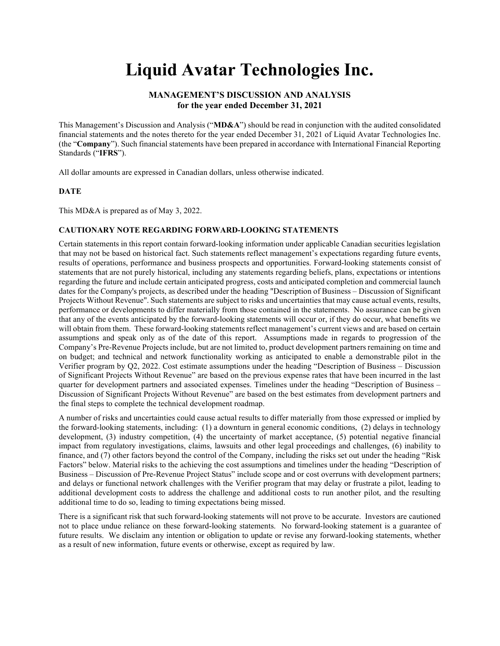# Liquid Avatar Technologies Inc.

# MANAGEMENT'S DISCUSSION AND ANALYSIS for the year ended December 31, 2021

This Management's Discussion and Analysis ("MD&A") should be read in conjunction with the audited consolidated financial statements and the notes thereto for the year ended December 31, 2021 of Liquid Avatar Technologies Inc. (the "Company"). Such financial statements have been prepared in accordance with International Financial Reporting Standards ("IFRS").

All dollar amounts are expressed in Canadian dollars, unless otherwise indicated.

## DATE

This MD&A is prepared as of May 3, 2022.

#### CAUTIONARY NOTE REGARDING FORWARD-LOOKING STATEMENTS

Certain statements in this report contain forward-looking information under applicable Canadian securities legislation that may not be based on historical fact. Such statements reflect management's expectations regarding future events, results of operations, performance and business prospects and opportunities. Forward-looking statements consist of statements that are not purely historical, including any statements regarding beliefs, plans, expectations or intentions regarding the future and include certain anticipated progress, costs and anticipated completion and commercial launch dates for the Company's projects, as described under the heading "Description of Business – Discussion of Significant Projects Without Revenue". Such statements are subject to risks and uncertainties that may cause actual events, results, performance or developments to differ materially from those contained in the statements. No assurance can be given that any of the events anticipated by the forward-looking statements will occur or, if they do occur, what benefits we will obtain from them. These forward-looking statements reflect management's current views and are based on certain assumptions and speak only as of the date of this report. Assumptions made in regards to progression of the Company's Pre-Revenue Projects include, but are not limited to, product development partners remaining on time and on budget; and technical and network functionality working as anticipated to enable a demonstrable pilot in the Verifier program by Q2, 2022. Cost estimate assumptions under the heading "Description of Business – Discussion of Significant Projects Without Revenue" are based on the previous expense rates that have been incurred in the last quarter for development partners and associated expenses. Timelines under the heading "Description of Business – Discussion of Significant Projects Without Revenue" are based on the best estimates from development partners and the final steps to complete the technical development roadmap.

A number of risks and uncertainties could cause actual results to differ materially from those expressed or implied by the forward-looking statements, including: (1) a downturn in general economic conditions, (2) delays in technology development, (3) industry competition, (4) the uncertainty of market acceptance, (5) potential negative financial impact from regulatory investigations, claims, lawsuits and other legal proceedings and challenges, (6) inability to finance, and (7) other factors beyond the control of the Company, including the risks set out under the heading "Risk Factors" below. Material risks to the achieving the cost assumptions and timelines under the heading "Description of Business – Discussion of Pre-Revenue Project Status" include scope and or cost overruns with development partners; and delays or functional network challenges with the Verifier program that may delay or frustrate a pilot, leading to additional development costs to address the challenge and additional costs to run another pilot, and the resulting additional time to do so, leading to timing expectations being missed.

There is a significant risk that such forward-looking statements will not prove to be accurate. Investors are cautioned not to place undue reliance on these forward-looking statements. No forward-looking statement is a guarantee of future results. We disclaim any intention or obligation to update or revise any forward-looking statements, whether as a result of new information, future events or otherwise, except as required by law.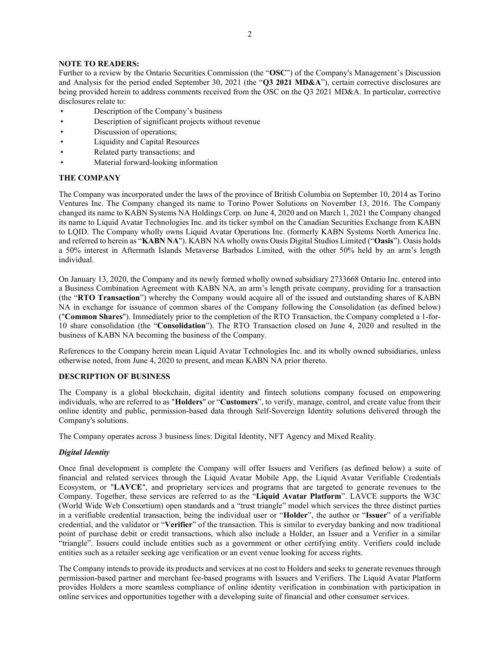## NOTE TO READERS:

Further to a review by the Ontario Securities Commission (the "OSC") of the Company's Management's Discussion and Analysis for the period ended September 30, 2021 (the "Q3 2021 MD&A"), certain corrective disclosures are being provided herein to address comments received from the OSC on the Q3 2021 MD&A. In particular, corrective disclosures relate to:

- Description of the Company's business
- Description of significant projects without revenue
- Discussion of operations;
- Liquidity and Capital Resources
- Related party transactions; and
- Material forward-looking information

## THE COMPANY

The Company was incorporated under the laws of the province of British Columbia on September 10, 2014 as Torino Ventures Inc. The Company changed its name to Torino Power Solutions on November 13, 2016. The Company changed its name to KABN Systems NA Holdings Corp. on June 4, 2020 and on March 1, 2021 the Company changed its name to Liquid Avatar Technologies Inc. and its ticker symbol on the Canadian Securities Exchange from KABN to LQID. The Company wholly owns Liquid Avatar Operations Inc. (formerly KABN Systems North America Inc. and referred to herein as "KABN NA"). KABN NA wholly owns Oasis Digital Studios Limited ("Oasis"). Oasis holds a 50% interest in Aftermath Islands Metaverse Barbados Limited, with the other 50% held by an arm's length individual.

On January 13, 2020, the Company and its newly formed wholly owned subsidiary 2733668 Ontario Inc. entered into a Business Combination Agreement with KABN NA, an arm's length private company, providing for a transaction (the "RTO Transaction") whereby the Company would acquire all of the issued and outstanding shares of KABN NA in exchange for issuance of common shares of the Company following the Consolidation (as defined below) ("Common Shares"). Immediately prior to the completion of the RTO Transaction, the Company completed a 1-for-10 share consolidation (the "Consolidation"). The RTO Transaction closed on June 4, 2020 and resulted in the business of KABN NA becoming the business of the Company.

References to the Company herein mean Liquid Avatar Technologies Inc. and its wholly owned subsidiaries, unless otherwise noted, from June 4, 2020 to present, and mean KABN NA prior thereto.

## DESCRIPTION OF BUSINESS

The Company is a global blockchain, digital identity and fintech solutions company focused on empowering individuals, who are referred to as "Holders" or "Customers", to verify, manage, control, and create value from their online identity and public, permission-based data through Self-Sovereign Identity solutions delivered through the Company's solutions.

The Company operates across 3 business lines: Digital Identity, NFT Agency and Mixed Reality.

### Digital Identity

Once final development is complete the Company will offer Issuers and Verifiers (as defined below) a suite of financial and related services through the Liquid Avatar Mobile App, the Liquid Avatar Verifiable Credentials Ecosystem, or "LAVCE", and proprietary services and programs that are targeted to generate revenues to the Company. Together, these services are referred to as the "Liquid Avatar Platform". LAVCE supports the W3C (World Wide Web Consortium) open standards and a "trust triangle" model which services the three distinct parties in a verifiable credential transaction, being the individual user or "Holder", the author or "Issuer" of a verifiable credential, and the validator or "Verifier" of the transaction. This is similar to everyday banking and now traditional point of purchase debit or credit transactions, which also include a Holder, an Issuer and a Verifier in a similar "triangle". Issuers could include entities such as a government or other certifying entity. Verifiers could include entities such as a retailer seeking age verification or an event venue looking for access rights.

The Company intends to provide its products and services at no cost to Holders and seeks to generate revenues through permission-based partner and merchant fee-based programs with Issuers and Verifiers. The Liquid Avatar Platform provides Holders a more seamless compliance of online identity verification in combination with participation in online services and opportunities together with a developing suite of financial and other consumer services.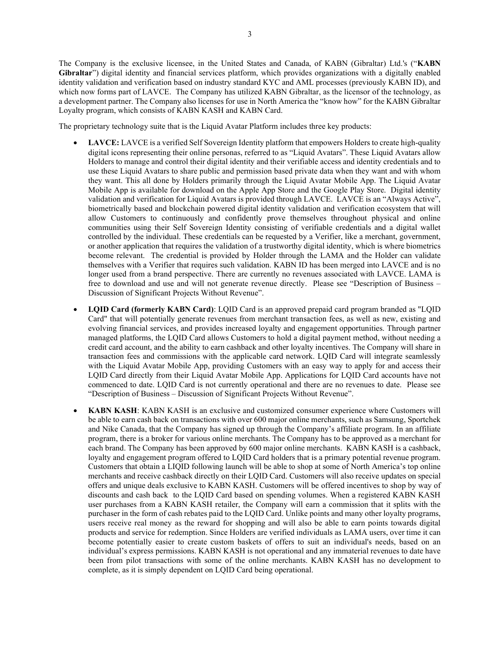The Company is the exclusive licensee, in the United States and Canada, of KABN (Gibraltar) Ltd.'s ("KABN Gibraltar") digital identity and financial services platform, which provides organizations with a digitally enabled identity validation and verification based on industry standard KYC and AML processes (previously KABN ID), and which now forms part of LAVCE. The Company has utilized KABN Gibraltar, as the licensor of the technology, as a development partner. The Company also licenses for use in North America the "know how" for the KABN Gibraltar Loyalty program, which consists of KABN KASH and KABN Card.

The proprietary technology suite that is the Liquid Avatar Platform includes three key products:

- LAVCE: LAVCE is a verified Self Sovereign Identity platform that empowers Holders to create high-quality digital icons representing their online personas, referred to as "Liquid Avatars". These Liquid Avatars allow Holders to manage and control their digital identity and their verifiable access and identity credentials and to use these Liquid Avatars to share public and permission based private data when they want and with whom they want. This all done by Holders primarily through the Liquid Avatar Mobile App. The Liquid Avatar Mobile App is available for download on the Apple App Store and the Google Play Store. Digital identity validation and verification for Liquid Avatars is provided through LAVCE. LAVCE is an "Always Active", biometrically based and blockchain powered digital identity validation and verification ecosystem that will allow Customers to continuously and confidently prove themselves throughout physical and online communities using their Self Sovereign Identity consisting of verifiable credentials and a digital wallet controlled by the individual. These credentials can be requested by a Verifier, like a merchant, government, or another application that requires the validation of a trustworthy digital identity, which is where biometrics become relevant. The credential is provided by Holder through the LAMA and the Holder can validate themselves with a Verifier that requires such validation. KABN ID has been merged into LAVCE and is no longer used from a brand perspective. There are currently no revenues associated with LAVCE. LAMA is free to download and use and will not generate revenue directly. Please see "Description of Business – Discussion of Significant Projects Without Revenue".
- LQID Card (formerly KABN Card): LQID Card is an approved prepaid card program branded as "LQID Card" that will potentially generate revenues from merchant transaction fees, as well as new, existing and evolving financial services, and provides increased loyalty and engagement opportunities. Through partner managed platforms, the LQID Card allows Customers to hold a digital payment method, without needing a credit card account, and the ability to earn cashback and other loyalty incentives. The Company will share in transaction fees and commissions with the applicable card network. LQID Card will integrate seamlessly with the Liquid Avatar Mobile App, providing Customers with an easy way to apply for and access their LQID Card directly from their Liquid Avatar Mobile App. Applications for LQID Card accounts have not commenced to date. LQID Card is not currently operational and there are no revenues to date. Please see "Description of Business – Discussion of Significant Projects Without Revenue".
- KABN KASH: KABN KASH is an exclusive and customized consumer experience where Customers will be able to earn cash back on transactions with over 600 major online merchants, such as Samsung, Sportchek and Nike Canada, that the Company has signed up through the Company's affiliate program. In an affiliate program, there is a broker for various online merchants. The Company has to be approved as a merchant for each brand. The Company has been approved by 600 major online merchants. KABN KASH is a cashback, loyalty and engagement program offered to LQID Card holders that is a primary potential revenue program. Customers that obtain a LIQID following launch will be able to shop at some of North America's top online merchants and receive cashback directly on their LQID Card. Customers will also receive updates on special offers and unique deals exclusive to KABN KASH. Customers will be offered incentives to shop by way of discounts and cash back to the LQID Card based on spending volumes. When a registered KABN KASH user purchases from a KABN KASH retailer, the Company will earn a commission that it splits with the purchaser in the form of cash rebates paid to the LQID Card. Unlike points and many other loyalty programs, users receive real money as the reward for shopping and will also be able to earn points towards digital products and service for redemption. Since Holders are verified individuals as LAMA users, over time it can become potentially easier to create custom baskets of offers to suit an individual's needs, based on an individual's express permissions. KABN KASH is not operational and any immaterial revenues to date have been from pilot transactions with some of the online merchants. KABN KASH has no development to complete, as it is simply dependent on LQID Card being operational.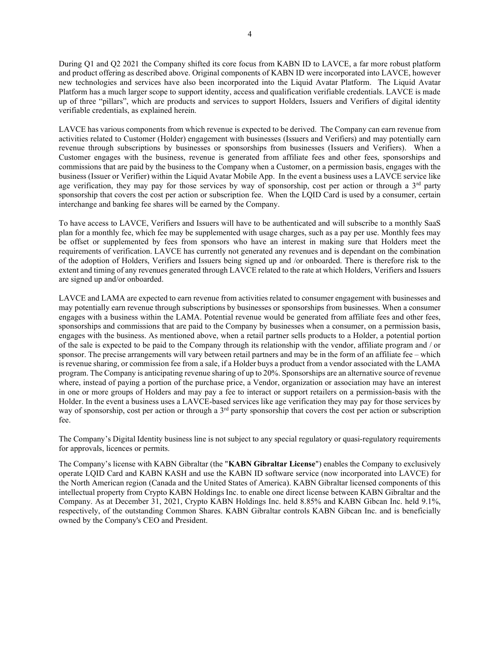During Q1 and Q2 2021 the Company shifted its core focus from KABN ID to LAVCE, a far more robust platform and product offering as described above. Original components of KABN ID were incorporated into LAVCE, however new technologies and services have also been incorporated into the Liquid Avatar Platform. The Liquid Avatar Platform has a much larger scope to support identity, access and qualification verifiable credentials. LAVCE is made up of three "pillars", which are products and services to support Holders, Issuers and Verifiers of digital identity verifiable credentials, as explained herein.

LAVCE has various components from which revenue is expected to be derived. The Company can earn revenue from activities related to Customer (Holder) engagement with businesses (Issuers and Verifiers) and may potentially earn revenue through subscriptions by businesses or sponsorships from businesses (Issuers and Verifiers). When a Customer engages with the business, revenue is generated from affiliate fees and other fees, sponsorships and commissions that are paid by the business to the Company when a Customer, on a permission basis, engages with the business (Issuer or Verifier) within the Liquid Avatar Mobile App. In the event a business uses a LAVCE service like age verification, they may pay for those services by way of sponsorship, cost per action or through a  $3<sup>rd</sup>$  party sponsorship that covers the cost per action or subscription fee. When the LQID Card is used by a consumer, certain interchange and banking fee shares will be earned by the Company.

To have access to LAVCE, Verifiers and Issuers will have to be authenticated and will subscribe to a monthly SaaS plan for a monthly fee, which fee may be supplemented with usage charges, such as a pay per use. Monthly fees may be offset or supplemented by fees from sponsors who have an interest in making sure that Holders meet the requirements of verification. LAVCE has currently not generated any revenues and is dependant on the combination of the adoption of Holders, Verifiers and Issuers being signed up and /or onboarded. There is therefore risk to the extent and timing of any revenues generated through LAVCE related to the rate at which Holders, Verifiers and Issuers are signed up and/or onboarded.

LAVCE and LAMA are expected to earn revenue from activities related to consumer engagement with businesses and may potentially earn revenue through subscriptions by businesses or sponsorships from businesses. When a consumer engages with a business within the LAMA. Potential revenue would be generated from affiliate fees and other fees, sponsorships and commissions that are paid to the Company by businesses when a consumer, on a permission basis, engages with the business. As mentioned above, when a retail partner sells products to a Holder, a potential portion of the sale is expected to be paid to the Company through its relationship with the vendor, affiliate program and / or sponsor. The precise arrangements will vary between retail partners and may be in the form of an affiliate fee – which is revenue sharing, or commission fee from a sale, if a Holder buys a product from a vendor associated with the LAMA program. The Company is anticipating revenue sharing of up to 20%. Sponsorships are an alternative source of revenue where, instead of paying a portion of the purchase price, a Vendor, organization or association may have an interest in one or more groups of Holders and may pay a fee to interact or support retailers on a permission-basis with the Holder. In the event a business uses a LAVCE-based services like age verification they may pay for those services by way of sponsorship, cost per action or through a  $3<sup>rd</sup>$  party sponsorship that covers the cost per action or subscription fee.

The Company's Digital Identity business line is not subject to any special regulatory or quasi-regulatory requirements for approvals, licences or permits.

The Company's license with KABN Gibraltar (the "KABN Gibraltar License") enables the Company to exclusively operate LQID Card and KABN KASH and use the KABN ID software service (now incorporated into LAVCE) for the North American region (Canada and the United States of America). KABN Gibraltar licensed components of this intellectual property from Crypto KABN Holdings Inc. to enable one direct license between KABN Gibraltar and the Company. As at December 31, 2021, Crypto KABN Holdings Inc. held 8.85% and KABN Gibcan Inc. held 9.1%, respectively, of the outstanding Common Shares. KABN Gibraltar controls KABN Gibcan Inc. and is beneficially owned by the Company's CEO and President.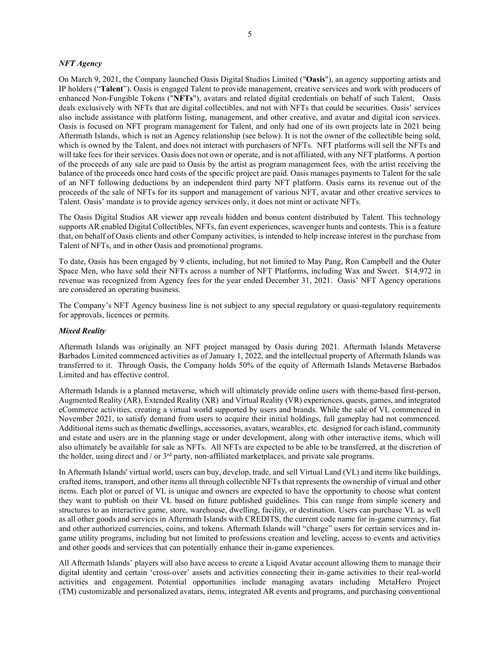#### NFT Agency

On March 9, 2021, the Company launched Oasis Digital Studios Limited ("Oasis"), an agency supporting artists and IP holders ("Talent"). Oasis is engaged Talent to provide management, creative services and work with producers of enhanced Non-Fungible Tokens ("NFTs"), avatars and related digital credentials on behalf of such Talent, Oasis deals exclusively with NFTs that are digital collectibles, and not with NFTs that could be securities. Oasis' services also include assistance with platform listing, management, and other creative, and avatar and digital icon services. Oasis is focused on NFT program management for Talent, and only had one of its own projects late in 2021 being Aftermath Islands, which is not an Agency relationship (see below). It is not the owner of the collectible being sold, which is owned by the Talent, and does not interact with purchasers of NFTs. NFT platforms will sell the NFTs and will take fees for their services. Oasis does not own or operate, and is not affiliated, with any NFT platforms. A portion of the proceeds of any sale are paid to Oasis by the artist as program management fees, with the artist receiving the balance of the proceeds once hard costs of the specific project are paid. Oasis manages payments to Talent for the sale of an NFT following deductions by an independent third party NFT platform. Oasis earns its revenue out of the proceeds of the sale of NFTs for its support and management of various NFT, avatar and other creative services to Talent. Oasis' mandate is to provide agency services only, it does not mint or activate NFTs.

The Oasis Digital Studios AR viewer app reveals hidden and bonus content distributed by Talent. This technology supports AR enabled Digital Collectibles, NFTs, fan event experiences, scavenger hunts and contests. This is a feature that, on behalf of Oasis clients and other Company activities, is intended to help increase interest in the purchase from Talent of NFTs, and in other Oasis and promotional programs.

To date, Oasis has been engaged by 9 clients, including, but not limited to May Pang, Ron Campbell and the Outer Space Men, who have sold their NFTs across a number of NFT Platforms, including Wax and Sweet. \$14,972 in revenue was recognized from Agency fees for the year ended December 31, 2021. Oasis' NFT Agency operations are considered an operating business.

The Company's NFT Agency business line is not subject to any special regulatory or quasi-regulatory requirements for approvals, licences or permits.

#### Mixed Reality

Aftermath Islands was originally an NFT project managed by Oasis during 2021. Aftermath Islands Metaverse Barbados Limited commenced activities as of January 1, 2022, and the intellectual property of Aftermath Islands was transferred to it. Through Oasis, the Company holds 50% of the equity of Aftermath Islands Metaverse Barbados Limited and has effective control.

Aftermath Islands is a planned metaverse, which will ultimately provide online users with theme-based first-person, Augmented Reality (AR), Extended Reality (XR) and Virtual Reality (VR) experiences, quests, games, and integrated eCommerce activities, creating a virtual world supported by users and brands. While the sale of VL commenced in November 2021, to satisfy demand from users to acquire their initial holdings, full gameplay had not commenced. Additional items such as thematic dwellings, accessories, avatars, wearables, etc. designed for each island, community and estate and users are in the planning stage or under development, along with other interactive items, which will also ultimately be available for sale as NFTs. All NFTs are expected to be able to be transferred, at the discretion of the holder, using direct and / or 3<sup>rd</sup> party, non-affiliated marketplaces, and private sale programs.

In Aftermath Islands' virtual world, users can buy, develop, trade, and sell Virtual Land (VL) and items like buildings, crafted items, transport, and other items all through collectible NFTs that represents the ownership of virtual and other items. Each plot or parcel of VL is unique and owners are expected to have the opportunity to choose what content they want to publish on their VL based on future published guidelines. This can range from simple scenery and structures to an interactive game, store, warehouse, dwelling, facility, or destination. Users can purchase VL as well as all other goods and services in Aftermath Islands with CREDITS, the current code name for in-game currency, fiat and other authorized currencies, coins, and tokens. Aftermath Islands will "charge" users for certain services and ingame utility programs, including but not limited to professions creation and leveling, access to events and activities and other goods and services that can potentially enhance their in-game experiences.

All Aftermath Islands' players will also have access to create a Liquid Avatar account allowing them to manage their digital identity and certain 'cross-over' assets and activities connecting their in-game activities to their real-world activities and engagement. Potential opportunities include managing avatars including MetaHero Project (TM) customizable and personalized avatars, items, integrated AR events and programs, and purchasing conventional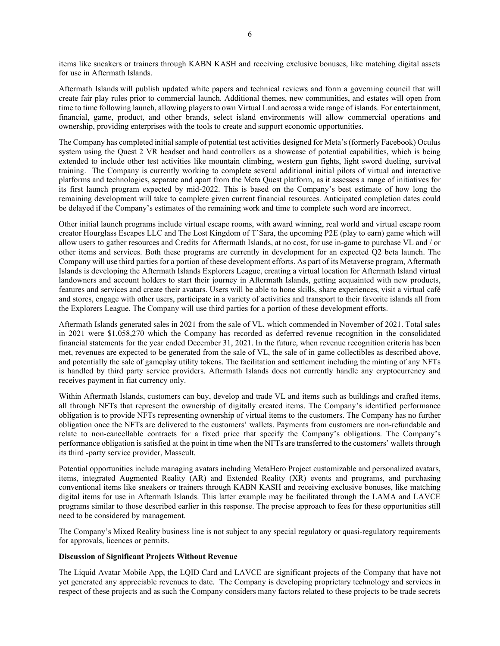items like sneakers or trainers through KABN KASH and receiving exclusive bonuses, like matching digital assets for use in Aftermath Islands.

Aftermath Islands will publish updated white papers and technical reviews and form a governing council that will create fair play rules prior to commercial launch. Additional themes, new communities, and estates will open from time to time following launch, allowing players to own Virtual Land across a wide range of islands. For entertainment, financial, game, product, and other brands, select island environments will allow commercial operations and ownership, providing enterprises with the tools to create and support economic opportunities.

The Company has completed initial sample of potential test activities designed for Meta's (formerly Facebook) Oculus system using the Quest 2 VR headset and hand controllers as a showcase of potential capabilities, which is being extended to include other test activities like mountain climbing, western gun fights, light sword dueling, survival training. The Company is currently working to complete several additional initial pilots of virtual and interactive platforms and technologies, separate and apart from the Meta Quest platform, as it assesses a range of initiatives for its first launch program expected by mid-2022. This is based on the Company's best estimate of how long the remaining development will take to complete given current financial resources. Anticipated completion dates could be delayed if the Company's estimates of the remaining work and time to complete such word are incorrect.

Other initial launch programs include virtual escape rooms, with award winning, real world and virtual escape room creator Hourglass Escapes LLC and The Lost Kingdom of T'Sara, the upcoming P2E (play to earn) game which will allow users to gather resources and Credits for Aftermath Islands, at no cost, for use in-game to purchase VL and / or other items and services. Both these programs are currently in development for an expected Q2 beta launch. The Company will use third parties for a portion of these development efforts. As part of its Metaverse program, Aftermath Islands is developing the Aftermath Islands Explorers League, creating a virtual location for Aftermath Island virtual landowners and account holders to start their journey in Aftermath Islands, getting acquainted with new products, features and services and create their avatars. Users will be able to hone skills, share experiences, visit a virtual café and stores, engage with other users, participate in a variety of activities and transport to their favorite islands all from the Explorers League. The Company will use third parties for a portion of these development efforts.

Aftermath Islands generated sales in 2021 from the sale of VL, which commended in November of 2021. Total sales in 2021 were \$1,058,270 which the Company has recorded as deferred revenue recognition in the consolidated financial statements for the year ended December 31, 2021. In the future, when revenue recognition criteria has been met, revenues are expected to be generated from the sale of VL, the sale of in game collectibles as described above, and potentially the sale of gameplay utility tokens. The facilitation and settlement including the minting of any NFTs is handled by third party service providers. Aftermath Islands does not currently handle any cryptocurrency and receives payment in fiat currency only.

Within Aftermath Islands, customers can buy, develop and trade VL and items such as buildings and crafted items, all through NFTs that represent the ownership of digitally created items. The Company's identified performance obligation is to provide NFTs representing ownership of virtual items to the customers. The Company has no further obligation once the NFTs are delivered to the customers' wallets. Payments from customers are non-refundable and relate to non-cancellable contracts for a fixed price that specify the Company's obligations. The Company's performance obligation is satisfied at the point in time when the NFTs are transferred to the customers' wallets through its third -party service provider, Masscult.

Potential opportunities include managing avatars including MetaHero Project customizable and personalized avatars, items, integrated Augmented Reality (AR) and Extended Reality (XR) events and programs, and purchasing conventional items like sneakers or trainers through KABN KASH and receiving exclusive bonuses, like matching digital items for use in Aftermath Islands. This latter example may be facilitated through the LAMA and LAVCE programs similar to those described earlier in this response. The precise approach to fees for these opportunities still need to be considered by management.

The Company's Mixed Reality business line is not subject to any special regulatory or quasi-regulatory requirements for approvals, licences or permits.

## Discussion of Significant Projects Without Revenue

The Liquid Avatar Mobile App, the LQID Card and LAVCE are significant projects of the Company that have not yet generated any appreciable revenues to date. The Company is developing proprietary technology and services in respect of these projects and as such the Company considers many factors related to these projects to be trade secrets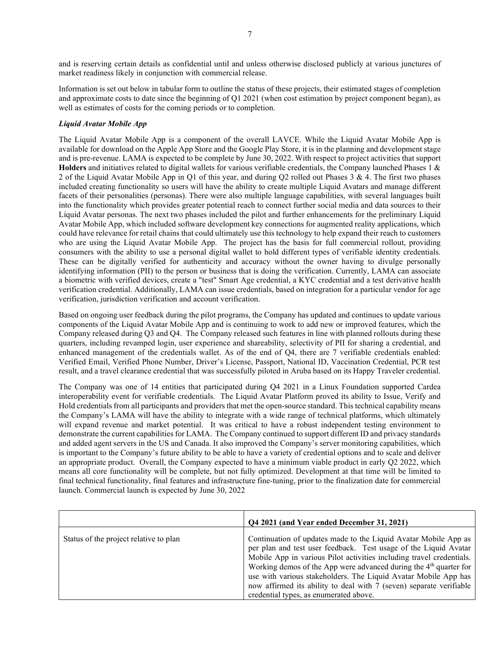and is reserving certain details as confidential until and unless otherwise disclosed publicly at various junctures of market readiness likely in conjunction with commercial release.

Information is set out below in tabular form to outline the status of these projects, their estimated stages of completion and approximate costs to date since the beginning of Q1 2021 (when cost estimation by project component began), as well as estimates of costs for the coming periods or to completion.

## Liquid Avatar Mobile App

The Liquid Avatar Mobile App is a component of the overall LAVCE. While the Liquid Avatar Mobile App is available for download on the Apple App Store and the Google Play Store, it is in the planning and development stage and is pre-revenue. LAMA is expected to be complete by June 30, 2022. With respect to project activities that support Holders and initiatives related to digital wallets for various verifiable credentials, the Company launched Phases 1  $\&$ 2 of the Liquid Avatar Mobile App in Q1 of this year, and during Q2 rolled out Phases 3 & 4. The first two phases included creating functionality so users will have the ability to create multiple Liquid Avatars and manage different facets of their personalities (personas). There were also multiple language capabilities, with several languages built into the functionality which provides greater potential reach to connect further social media and data sources to their Liquid Avatar personas. The next two phases included the pilot and further enhancements for the preliminary Liquid Avatar Mobile App, which included software development key connections for augmented reality applications, which could have relevance for retail chains that could ultimately use this technology to help expand their reach to customers who are using the Liquid Avatar Mobile App. The project has the basis for full commercial rollout, providing consumers with the ability to use a personal digital wallet to hold different types of verifiable identity credentials. These can be digitally verified for authenticity and accuracy without the owner having to divulge personally identifying information (PII) to the person or business that is doing the verification. Currently, LAMA can associate a biometric with verified devices, create a "test" Smart Age credential, a KYC credential and a test derivative health verification credential. Additionally, LAMA can issue credentials, based on integration for a particular vendor for age verification, jurisdiction verification and account verification.

Based on ongoing user feedback during the pilot programs, the Company has updated and continues to update various components of the Liquid Avatar Mobile App and is continuing to work to add new or improved features, which the Company released during Q3 and Q4. The Company released such features in line with planned rollouts during these quarters, including revamped login, user experience and shareability, selectivity of PII for sharing a credential, and enhanced management of the credentials wallet. As of the end of Q4, there are 7 verifiable credentials enabled: Verified Email, Verified Phone Number, Driver's License, Passport, National ID, Vaccination Credential, PCR test result, and a travel clearance credential that was successfully piloted in Aruba based on its Happy Traveler credential.

The Company was one of 14 entities that participated during Q4 2021 in a Linux Foundation supported Cardea interoperability event for verifiable credentials. The Liquid Avatar Platform proved its ability to Issue, Verify and Hold credentials from all participants and providers that met the open-source standard. This technical capability means the Company's LAMA will have the ability to integrate with a wide range of technical platforms, which ultimately will expand revenue and market potential. It was critical to have a robust independent testing environment to demonstrate the current capabilities for LAMA. The Company continued to support different ID and privacy standards and added agent servers in the US and Canada. It also improved the Company's server monitoring capabilities, which is important to the Company's future ability to be able to have a variety of credential options and to scale and deliver an appropriate product. Overall, the Company expected to have a minimum viable product in early Q2 2022, which means all core functionality will be complete, but not fully optimized. Development at that time will be limited to final technical functionality, final features and infrastructure fine-tuning, prior to the finalization date for commercial launch. Commercial launch is expected by June 30, 2022

|                                        | Q4 2021 (and Year ended December 31, 2021)                                                                                                                                                                                                                                                                                                                                                                                                                                       |
|----------------------------------------|----------------------------------------------------------------------------------------------------------------------------------------------------------------------------------------------------------------------------------------------------------------------------------------------------------------------------------------------------------------------------------------------------------------------------------------------------------------------------------|
| Status of the project relative to plan | Continuation of updates made to the Liquid Avatar Mobile App as<br>per plan and test user feedback. Test usage of the Liquid Avatar<br>Mobile App in various Pilot activities including travel credentials.<br>Working demos of the App were advanced during the 4 <sup>th</sup> quarter for<br>use with various stakeholders. The Liquid Avatar Mobile App has<br>now affirmed its ability to deal with 7 (seven) separate verifiable<br>credential types, as enumerated above. |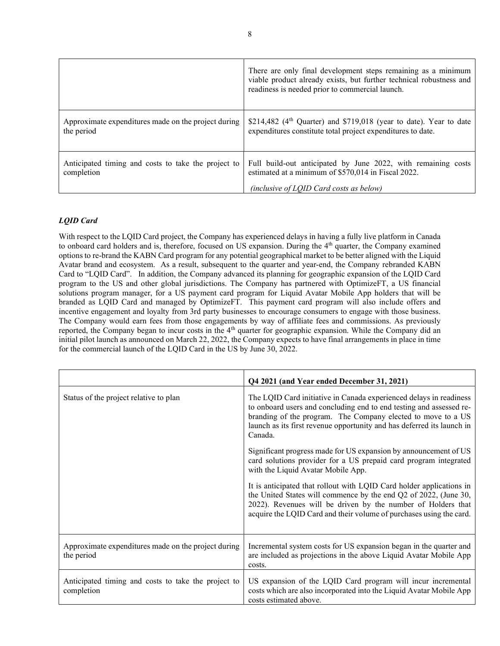|                                                                   | There are only final development steps remaining as a minimum<br>viable product already exists, but further technical robustness and<br>readiness is needed prior to commercial launch. |
|-------------------------------------------------------------------|-----------------------------------------------------------------------------------------------------------------------------------------------------------------------------------------|
| Approximate expenditures made on the project during<br>the period | \$214,482 ( $4th$ Quarter) and \$719,018 (year to date). Year to date<br>expenditures constitute total project expenditures to date.                                                    |
| Anticipated timing and costs to take the project to<br>completion | Full build-out anticipated by June 2022, with remaining costs<br>estimated at a minimum of \$570,014 in Fiscal 2022.<br>(inclusive of LOID Card costs as below)                         |

# LQID Card

With respect to the LQID Card project, the Company has experienced delays in having a fully live platform in Canada to onboard card holders and is, therefore, focused on US expansion. During the 4<sup>th</sup> quarter, the Company examined options to re-brand the KABN Card program for any potential geographical market to be better aligned with the Liquid Avatar brand and ecosystem. As a result, subsequent to the quarter and year-end, the Company rebranded KABN Card to "LQID Card". In addition, the Company advanced its planning for geographic expansion of the LQID Card program to the US and other global jurisdictions. The Company has partnered with OptimizeFT, a US financial solutions program manager, for a US payment card program for Liquid Avatar Mobile App holders that will be branded as LQID Card and managed by OptimizeFT. This payment card program will also include offers and incentive engagement and loyalty from 3rd party businesses to encourage consumers to engage with those business. The Company would earn fees from those engagements by way of affiliate fees and commissions. As previously reported, the Company began to incur costs in the 4<sup>th</sup> quarter for geographic expansion. While the Company did an initial pilot launch as announced on March 22, 2022, the Company expects to have final arrangements in place in time for the commercial launch of the LQID Card in the US by June 30, 2022.

|                                                                   | Q4 2021 (and Year ended December 31, 2021)                                                                                                                                                                                                                                                     |
|-------------------------------------------------------------------|------------------------------------------------------------------------------------------------------------------------------------------------------------------------------------------------------------------------------------------------------------------------------------------------|
| Status of the project relative to plan                            | The LQID Card initiative in Canada experienced delays in readiness<br>to onboard users and concluding end to end testing and assessed re-<br>branding of the program. The Company elected to move to a US<br>launch as its first revenue opportunity and has deferred its launch in<br>Canada. |
|                                                                   | Significant progress made for US expansion by announcement of US<br>card solutions provider for a US prepaid card program integrated<br>with the Liquid Avatar Mobile App.                                                                                                                     |
|                                                                   | It is anticipated that rollout with LQID Card holder applications in<br>the United States will commence by the end Q2 of 2022, (June 30,<br>2022). Revenues will be driven by the number of Holders that<br>acquire the LQID Card and their volume of purchases using the card.                |
| Approximate expenditures made on the project during<br>the period | Incremental system costs for US expansion began in the quarter and<br>are included as projections in the above Liquid Avatar Mobile App<br>costs.                                                                                                                                              |
| Anticipated timing and costs to take the project to<br>completion | US expansion of the LQID Card program will incur incremental<br>costs which are also incorporated into the Liquid Avatar Mobile App<br>costs estimated above.                                                                                                                                  |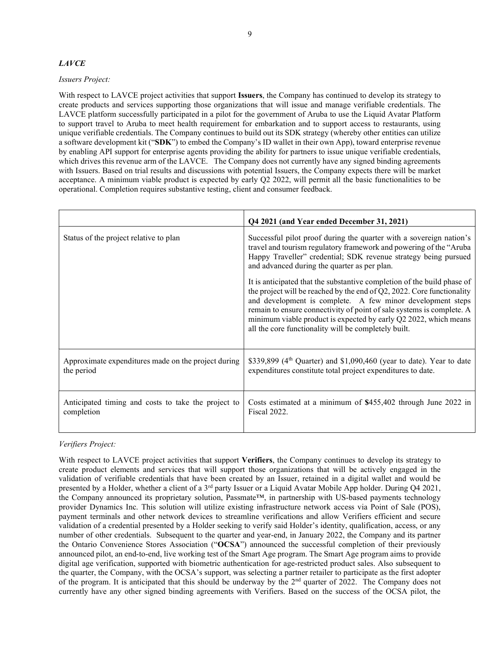## LAVCE

## Issuers Project:

With respect to LAVCE project activities that support **Issuers**, the Company has continued to develop its strategy to create products and services supporting those organizations that will issue and manage verifiable credentials. The LAVCE platform successfully participated in a pilot for the government of Aruba to use the Liquid Avatar Platform to support travel to Aruba to meet health requirement for embarkation and to support access to restaurants, using unique verifiable credentials. The Company continues to build out its SDK strategy (whereby other entities can utilize a software development kit ("SDK") to embed the Company's ID wallet in their own App), toward enterprise revenue by enabling API support for enterprise agents providing the ability for partners to issue unique verifiable credentials, which drives this revenue arm of the LAVCE. The Company does not currently have any signed binding agreements with Issuers. Based on trial results and discussions with potential Issuers, the Company expects there will be market acceptance. A minimum viable product is expected by early Q2 2022, will permit all the basic functionalities to be operational. Completion requires substantive testing, client and consumer feedback.

|                                                                   | Q4 2021 (and Year ended December 31, 2021)                                                                                                                                                                                                                                                                                                                                                                              |
|-------------------------------------------------------------------|-------------------------------------------------------------------------------------------------------------------------------------------------------------------------------------------------------------------------------------------------------------------------------------------------------------------------------------------------------------------------------------------------------------------------|
| Status of the project relative to plan                            | Successful pilot proof during the quarter with a sovereign nation's<br>travel and tourism regulatory framework and powering of the "Aruba<br>Happy Traveller" credential; SDK revenue strategy being pursued<br>and advanced during the quarter as per plan.                                                                                                                                                            |
|                                                                   | It is anticipated that the substantive completion of the build phase of<br>the project will be reached by the end of $Q2$ , 2022. Core functionality<br>and development is complete. A few minor development steps<br>remain to ensure connectivity of point of sale systems is complete. A<br>minimum viable product is expected by early Q2 2022, which means<br>all the core functionality will be completely built. |
| Approximate expenditures made on the project during<br>the period | \$339,899 ( $4th$ Quarter) and \$1,090,460 (year to date). Year to date<br>expenditures constitute total project expenditures to date.                                                                                                                                                                                                                                                                                  |
| Anticipated timing and costs to take the project to<br>completion | Costs estimated at a minimum of \$455,402 through June 2022 in<br><b>Fiscal 2022.</b>                                                                                                                                                                                                                                                                                                                                   |

## Verifiers Project:

With respect to LAVCE project activities that support Verifiers, the Company continues to develop its strategy to create product elements and services that will support those organizations that will be actively engaged in the validation of verifiable credentials that have been created by an Issuer, retained in a digital wallet and would be presented by a Holder, whether a client of a 3<sup>rd</sup> party Issuer or a Liquid Avatar Mobile App holder. During Q4 2021, the Company announced its proprietary solution, Passmate™, in partnership with US-based payments technology provider Dynamics Inc. This solution will utilize existing infrastructure network access via Point of Sale (POS), payment terminals and other network devices to streamline verifications and allow Verifiers efficient and secure validation of a credential presented by a Holder seeking to verify said Holder's identity, qualification, access, or any number of other credentials. Subsequent to the quarter and year-end, in January 2022, the Company and its partner the Ontario Convenience Stores Association ("OCSA") announced the successful completion of their previously announced pilot, an end-to-end, live working test of the Smart Age program. The Smart Age program aims to provide digital age verification, supported with biometric authentication for age-restricted product sales. Also subsequent to the quarter, the Company, with the OCSA's support, was selecting a partner retailer to participate as the first adopter of the program. It is anticipated that this should be underway by the  $2<sup>nd</sup>$  quarter of 2022. The Company does not currently have any other signed binding agreements with Verifiers. Based on the success of the OCSA pilot, the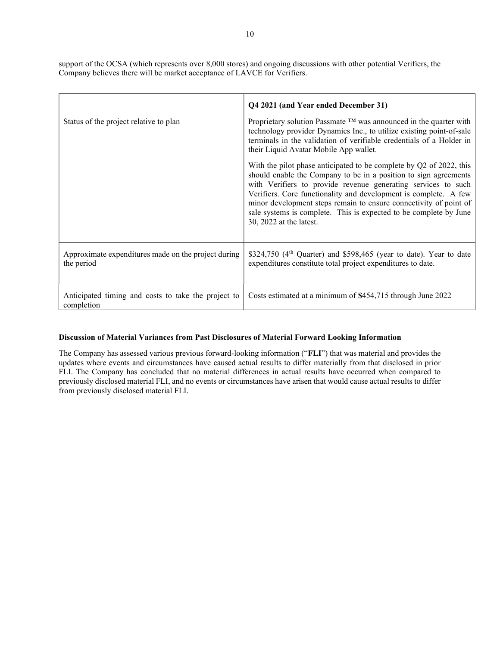support of the OCSA (which represents over 8,000 stores) and ongoing discussions with other potential Verifiers, the Company believes there will be market acceptance of LAVCE for Verifiers.

|                                                                   | Q4 2021 (and Year ended December 31)                                                                                                                                                                                                                                                                                                                                                                                                              |
|-------------------------------------------------------------------|---------------------------------------------------------------------------------------------------------------------------------------------------------------------------------------------------------------------------------------------------------------------------------------------------------------------------------------------------------------------------------------------------------------------------------------------------|
| Status of the project relative to plan                            | Proprietary solution Passmate $TM$ was announced in the quarter with<br>technology provider Dynamics Inc., to utilize existing point-of-sale<br>terminals in the validation of verifiable credentials of a Holder in<br>their Liquid Avatar Mobile App wallet.                                                                                                                                                                                    |
|                                                                   | With the pilot phase anticipated to be complete by Q2 of 2022, this<br>should enable the Company to be in a position to sign agreements<br>with Verifiers to provide revenue generating services to such<br>Verifiers. Core functionality and development is complete. A few<br>minor development steps remain to ensure connectivity of point of<br>sale systems is complete. This is expected to be complete by June<br>30, 2022 at the latest. |
| Approximate expenditures made on the project during<br>the period | \$324,750 (4 <sup>th</sup> Quarter) and \$598,465 (year to date). Year to date<br>expenditures constitute total project expenditures to date.                                                                                                                                                                                                                                                                                                     |
| Anticipated timing and costs to take the project to<br>completion | Costs estimated at a minimum of \$454,715 through June 2022                                                                                                                                                                                                                                                                                                                                                                                       |

#### Discussion of Material Variances from Past Disclosures of Material Forward Looking Information

The Company has assessed various previous forward-looking information ("FLI") that was material and provides the updates where events and circumstances have caused actual results to differ materially from that disclosed in prior FLI. The Company has concluded that no material differences in actual results have occurred when compared to previously disclosed material FLI, and no events or circumstances have arisen that would cause actual results to differ from previously disclosed material FLI.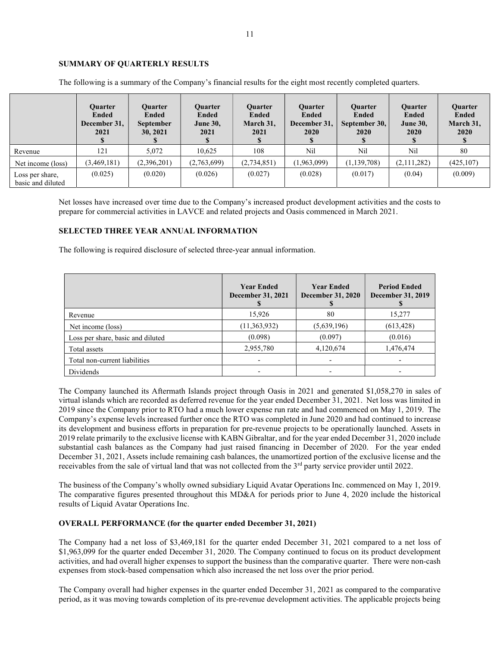## SUMMARY OF QUARTERLY RESULTS

|                                      | <b>Ouarter</b><br>Ended<br>December 31,<br>2021 | Ouarter<br>Ended<br><b>September</b><br>30, 2021 | <b>Ouarter</b><br><b>Ended</b><br><b>June 30,</b><br>2021 | <b>Ouarter</b><br>Ended<br>March 31,<br>2021 | <b>Ouarter</b><br>Ended<br>December 31,<br><b>2020</b> | <b>Ouarter</b><br>Ended<br>September 30,<br>2020 | <b>Ouarter</b><br>Ended<br><b>June 30,</b><br>2020 | <b>Ouarter</b><br><b>Ended</b><br>March 31,<br>2020 |
|--------------------------------------|-------------------------------------------------|--------------------------------------------------|-----------------------------------------------------------|----------------------------------------------|--------------------------------------------------------|--------------------------------------------------|----------------------------------------------------|-----------------------------------------------------|
| Revenue                              | 121                                             | 5.072                                            | 10.625                                                    | 108                                          | Nil                                                    | Nil                                              | Nil                                                | 80                                                  |
| Net income (loss)                    | (3,469,181)                                     | (2,396,201)                                      | (2,763,699)                                               | (2,734,851)                                  | (1,963,099)                                            | (1, 139, 708)                                    | (2,111,282)                                        | (425, 107)                                          |
| Loss per share,<br>basic and diluted | (0.025)                                         | (0.020)                                          | (0.026)                                                   | (0.027)                                      | (0.028)                                                | (0.017)                                          | (0.04)                                             | (0.009)                                             |

The following is a summary of the Company's financial results for the eight most recently completed quarters.

Net losses have increased over time due to the Company's increased product development activities and the costs to prepare for commercial activities in LAVCE and related projects and Oasis commenced in March 2021.

## SELECTED THREE YEAR ANNUAL INFORMATION

The following is required disclosure of selected three-year annual information.

|                                   | <b>Year Ended</b><br><b>December 31, 2021</b> | <b>Year Ended</b><br><b>December 31, 2020</b> | <b>Period Ended</b><br><b>December 31, 2019</b> |
|-----------------------------------|-----------------------------------------------|-----------------------------------------------|-------------------------------------------------|
| Revenue                           | 15,926                                        | 80                                            | 15,277                                          |
| Net income (loss)                 | (11, 363, 932)                                | (5,639,196)                                   | (613, 428)                                      |
| Loss per share, basic and diluted | (0.098)                                       | (0.097)                                       | (0.016)                                         |
| Total assets                      | 2,955,780                                     | 4,120,674                                     | 1,476,474                                       |
| Total non-current liabilities     |                                               |                                               |                                                 |
| Dividends                         |                                               |                                               |                                                 |

The Company launched its Aftermath Islands project through Oasis in 2021 and generated \$1,058,270 in sales of virtual islands which are recorded as deferred revenue for the year ended December 31, 2021. Net loss was limited in 2019 since the Company prior to RTO had a much lower expense run rate and had commenced on May 1, 2019. The Company's expense levels increased further once the RTO was completed in June 2020 and had continued to increase its development and business efforts in preparation for pre-revenue projects to be operationally launched. Assets in 2019 relate primarily to the exclusive license with KABN Gibraltar, and for the year ended December 31, 2020 include substantial cash balances as the Company had just raised financing in December of 2020. For the year ended December 31, 2021, Assets include remaining cash balances, the unamortized portion of the exclusive license and the receivables from the sale of virtual land that was not collected from the 3<sup>rd</sup> party service provider until 2022.

The business of the Company's wholly owned subsidiary Liquid Avatar Operations Inc. commenced on May 1, 2019. The comparative figures presented throughout this MD&A for periods prior to June 4, 2020 include the historical results of Liquid Avatar Operations Inc.

#### OVERALL PERFORMANCE (for the quarter ended December 31, 2021)

The Company had a net loss of \$3,469,181 for the quarter ended December 31, 2021 compared to a net loss of \$1,963,099 for the quarter ended December 31, 2020. The Company continued to focus on its product development activities, and had overall higher expenses to support the business than the comparative quarter. There were non-cash expenses from stock-based compensation which also increased the net loss over the prior period.

The Company overall had higher expenses in the quarter ended December 31, 2021 as compared to the comparative period, as it was moving towards completion of its pre-revenue development activities. The applicable projects being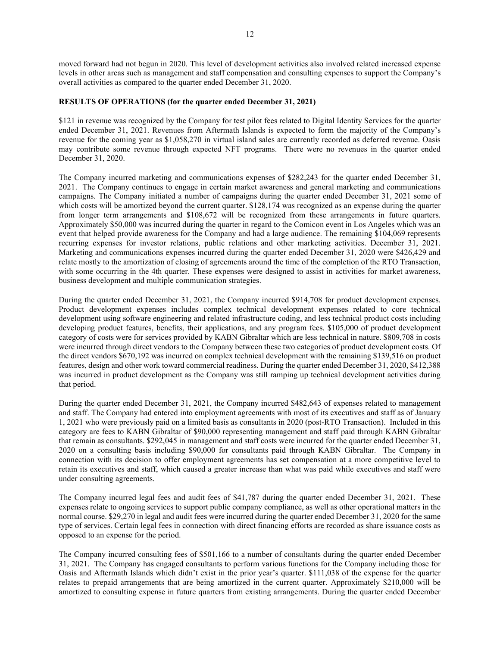moved forward had not begun in 2020. This level of development activities also involved related increased expense levels in other areas such as management and staff compensation and consulting expenses to support the Company's overall activities as compared to the quarter ended December 31, 2020.

## RESULTS OF OPERATIONS (for the quarter ended December 31, 2021)

\$121 in revenue was recognized by the Company for test pilot fees related to Digital Identity Services for the quarter ended December 31, 2021. Revenues from Aftermath Islands is expected to form the majority of the Company's revenue for the coming year as \$1,058,270 in virtual island sales are currently recorded as deferred revenue. Oasis may contribute some revenue through expected NFT programs. There were no revenues in the quarter ended December 31, 2020.

The Company incurred marketing and communications expenses of \$282,243 for the quarter ended December 31, 2021. The Company continues to engage in certain market awareness and general marketing and communications campaigns. The Company initiated a number of campaigns during the quarter ended December 31, 2021 some of which costs will be amortized beyond the current quarter. \$128,174 was recognized as an expense during the quarter from longer term arrangements and \$108,672 will be recognized from these arrangements in future quarters. Approximately \$50,000 was incurred during the quarter in regard to the Comicon event in Los Angeles which was an event that helped provide awareness for the Company and had a large audience. The remaining \$104,069 represents recurring expenses for investor relations, public relations and other marketing activities. December 31, 2021. Marketing and communications expenses incurred during the quarter ended December 31, 2020 were \$426,429 and relate mostly to the amortization of closing of agreements around the time of the completion of the RTO Transaction, with some occurring in the 4th quarter. These expenses were designed to assist in activities for market awareness, business development and multiple communication strategies.

During the quarter ended December 31, 2021, the Company incurred \$914,708 for product development expenses. Product development expenses includes complex technical development expenses related to core technical development using software engineering and related infrastructure coding, and less technical product costs including developing product features, benefits, their applications, and any program fees. \$105,000 of product development category of costs were for services provided by KABN Gibraltar which are less technical in nature. \$809,708 in costs were incurred through direct vendors to the Company between these two categories of product development costs. Of the direct vendors \$670,192 was incurred on complex technical development with the remaining \$139,516 on product features, design and other work toward commercial readiness. During the quarter ended December 31, 2020, \$412,388 was incurred in product development as the Company was still ramping up technical development activities during that period.

During the quarter ended December 31, 2021, the Company incurred \$482,643 of expenses related to management and staff. The Company had entered into employment agreements with most of its executives and staff as of January 1, 2021 who were previously paid on a limited basis as consultants in 2020 (post-RTO Transaction). Included in this category are fees to KABN Gibraltar of \$90,000 representing management and staff paid through KABN Gibraltar that remain as consultants. \$292,045 in management and staff costs were incurred for the quarter ended December 31, 2020 on a consulting basis including \$90,000 for consultants paid through KABN Gibraltar. The Company in connection with its decision to offer employment agreements has set compensation at a more competitive level to retain its executives and staff, which caused a greater increase than what was paid while executives and staff were under consulting agreements.

The Company incurred legal fees and audit fees of \$41,787 during the quarter ended December 31, 2021. These expenses relate to ongoing services to support public company compliance, as well as other operational matters in the normal course. \$29,270 in legal and audit fees were incurred during the quarter ended December 31, 2020 for the same type of services. Certain legal fees in connection with direct financing efforts are recorded as share issuance costs as opposed to an expense for the period.

The Company incurred consulting fees of \$501,166 to a number of consultants during the quarter ended December 31, 2021. The Company has engaged consultants to perform various functions for the Company including those for Oasis and Aftermath Islands which didn't exist in the prior year's quarter. \$111,038 of the expense for the quarter relates to prepaid arrangements that are being amortized in the current quarter. Approximately \$210,000 will be amortized to consulting expense in future quarters from existing arrangements. During the quarter ended December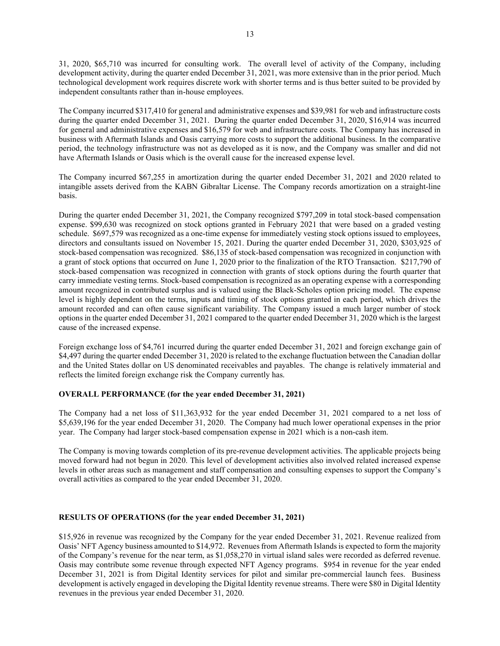31, 2020, \$65,710 was incurred for consulting work. The overall level of activity of the Company, including development activity, during the quarter ended December 31, 2021, was more extensive than in the prior period. Much technological development work requires discrete work with shorter terms and is thus better suited to be provided by independent consultants rather than in-house employees.

The Company incurred \$317,410 for general and administrative expenses and \$39,981 for web and infrastructure costs during the quarter ended December 31, 2021. During the quarter ended December 31, 2020, \$16,914 was incurred for general and administrative expenses and \$16,579 for web and infrastructure costs. The Company has increased in business with Aftermath Islands and Oasis carrying more costs to support the additional business. In the comparative period, the technology infrastructure was not as developed as it is now, and the Company was smaller and did not have Aftermath Islands or Oasis which is the overall cause for the increased expense level.

The Company incurred \$67,255 in amortization during the quarter ended December 31, 2021 and 2020 related to intangible assets derived from the KABN Gibraltar License. The Company records amortization on a straight-line basis.

During the quarter ended December 31, 2021, the Company recognized \$797,209 in total stock-based compensation expense. \$99,630 was recognized on stock options granted in February 2021 that were based on a graded vesting schedule. \$697,579 was recognized as a one-time expense for immediately vesting stock options issued to employees, directors and consultants issued on November 15, 2021. During the quarter ended December 31, 2020, \$303,925 of stock-based compensation was recognized. \$86,135 of stock-based compensation was recognized in conjunction with a grant of stock options that occurred on June 1, 2020 prior to the finalization of the RTO Transaction. \$217,790 of stock-based compensation was recognized in connection with grants of stock options during the fourth quarter that carry immediate vesting terms. Stock-based compensation is recognized as an operating expense with a corresponding amount recognized in contributed surplus and is valued using the Black-Scholes option pricing model. The expense level is highly dependent on the terms, inputs and timing of stock options granted in each period, which drives the amount recorded and can often cause significant variability. The Company issued a much larger number of stock options in the quarter ended December 31, 2021 compared to the quarter ended December 31, 2020 which is the largest cause of the increased expense.

Foreign exchange loss of \$4,761 incurred during the quarter ended December 31, 2021 and foreign exchange gain of \$4,497 during the quarter ended December 31, 2020 is related to the exchange fluctuation between the Canadian dollar and the United States dollar on US denominated receivables and payables. The change is relatively immaterial and reflects the limited foreign exchange risk the Company currently has.

#### OVERALL PERFORMANCE (for the year ended December 31, 2021)

The Company had a net loss of \$11,363,932 for the year ended December 31, 2021 compared to a net loss of \$5,639,196 for the year ended December 31, 2020. The Company had much lower operational expenses in the prior year. The Company had larger stock-based compensation expense in 2021 which is a non-cash item.

The Company is moving towards completion of its pre-revenue development activities. The applicable projects being moved forward had not begun in 2020. This level of development activities also involved related increased expense levels in other areas such as management and staff compensation and consulting expenses to support the Company's overall activities as compared to the year ended December 31, 2020.

## RESULTS OF OPERATIONS (for the year ended December 31, 2021)

\$15,926 in revenue was recognized by the Company for the year ended December 31, 2021. Revenue realized from Oasis' NFT Agency business amounted to \$14,972. Revenues from Aftermath Islands is expected to form the majority of the Company's revenue for the near term, as \$1,058,270 in virtual island sales were recorded as deferred revenue. Oasis may contribute some revenue through expected NFT Agency programs. \$954 in revenue for the year ended December 31, 2021 is from Digital Identity services for pilot and similar pre-commercial launch fees. Business development is actively engaged in developing the Digital Identity revenue streams. There were \$80 in Digital Identity revenues in the previous year ended December 31, 2020.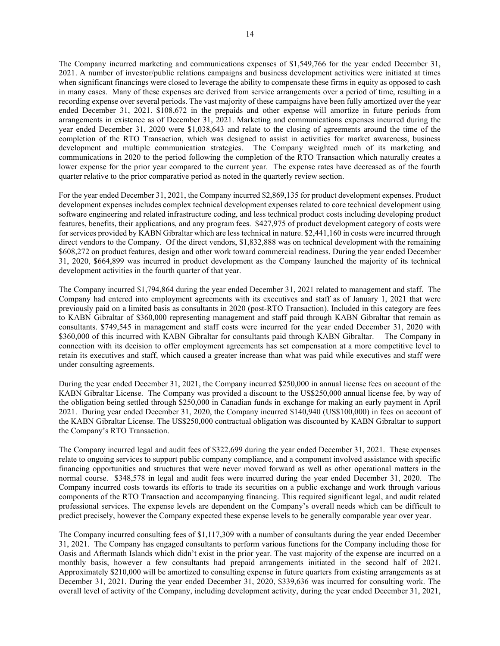The Company incurred marketing and communications expenses of \$1,549,766 for the year ended December 31, 2021. A number of investor/public relations campaigns and business development activities were initiated at times when significant financings were closed to leverage the ability to compensate these firms in equity as opposed to cash in many cases. Many of these expenses are derived from service arrangements over a period of time, resulting in a recording expense over several periods. The vast majority of these campaigns have been fully amortized over the year ended December 31, 2021. \$108,672 in the prepaids and other expense will amortize in future periods from arrangements in existence as of December 31, 2021. Marketing and communications expenses incurred during the year ended December 31, 2020 were \$1,038,643 and relate to the closing of agreements around the time of the completion of the RTO Transaction, which was designed to assist in activities for market awareness, business development and multiple communication strategies. The Company weighted much of its marketing and communications in 2020 to the period following the completion of the RTO Transaction which naturally creates a lower expense for the prior year compared to the current year. The expense rates have decreased as of the fourth quarter relative to the prior comparative period as noted in the quarterly review section.

For the year ended December 31, 2021, the Company incurred \$2,869,135 for product development expenses. Product development expenses includes complex technical development expenses related to core technical development using software engineering and related infrastructure coding, and less technical product costs including developing product features, benefits, their applications, and any program fees. \$427,975 of product development category of costs were for services provided by KABN Gibraltar which are less technical in nature. \$2,441,160 in costs were incurred through direct vendors to the Company. Of the direct vendors, \$1,832,888 was on technical development with the remaining \$608,272 on product features, design and other work toward commercial readiness. During the year ended December 31, 2020, \$664,899 was incurred in product development as the Company launched the majority of its technical development activities in the fourth quarter of that year.

The Company incurred \$1,794,864 during the year ended December 31, 2021 related to management and staff. The Company had entered into employment agreements with its executives and staff as of January 1, 2021 that were previously paid on a limited basis as consultants in 2020 (post-RTO Transaction). Included in this category are fees to KABN Gibraltar of \$360,000 representing management and staff paid through KABN Gibraltar that remain as consultants. \$749,545 in management and staff costs were incurred for the year ended December 31, 2020 with \$360,000 of this incurred with KABN Gibraltar for consultants paid through KABN Gibraltar. The Company in \$360,000 of this incurred with KABN Gibraltar for consultants paid through KABN Gibraltar. connection with its decision to offer employment agreements has set compensation at a more competitive level to retain its executives and staff, which caused a greater increase than what was paid while executives and staff were under consulting agreements.

During the year ended December 31, 2021, the Company incurred \$250,000 in annual license fees on account of the KABN Gibraltar License. The Company was provided a discount to the US\$250,000 annual license fee, by way of the obligation being settled through \$250,000 in Canadian funds in exchange for making an early payment in April 2021. During year ended December 31, 2020, the Company incurred \$140,940 (US\$100,000) in fees on account of the KABN Gibraltar License. The US\$250,000 contractual obligation was discounted by KABN Gibraltar to support the Company's RTO Transaction.

The Company incurred legal and audit fees of \$322,699 during the year ended December 31, 2021. These expenses relate to ongoing services to support public company compliance, and a component involved assistance with specific financing opportunities and structures that were never moved forward as well as other operational matters in the normal course. \$348,578 in legal and audit fees were incurred during the year ended December 31, 2020. The Company incurred costs towards its efforts to trade its securities on a public exchange and work through various components of the RTO Transaction and accompanying financing. This required significant legal, and audit related professional services. The expense levels are dependent on the Company's overall needs which can be difficult to predict precisely, however the Company expected these expense levels to be generally comparable year over year.

The Company incurred consulting fees of \$1,117,309 with a number of consultants during the year ended December 31, 2021. The Company has engaged consultants to perform various functions for the Company including those for Oasis and Aftermath Islands which didn't exist in the prior year. The vast majority of the expense are incurred on a monthly basis, however a few consultants had prepaid arrangements initiated in the second half of 2021. Approximately \$210,000 will be amortized to consulting expense in future quarters from existing arrangements as at December 31, 2021. During the year ended December 31, 2020, \$339,636 was incurred for consulting work. The overall level of activity of the Company, including development activity, during the year ended December 31, 2021,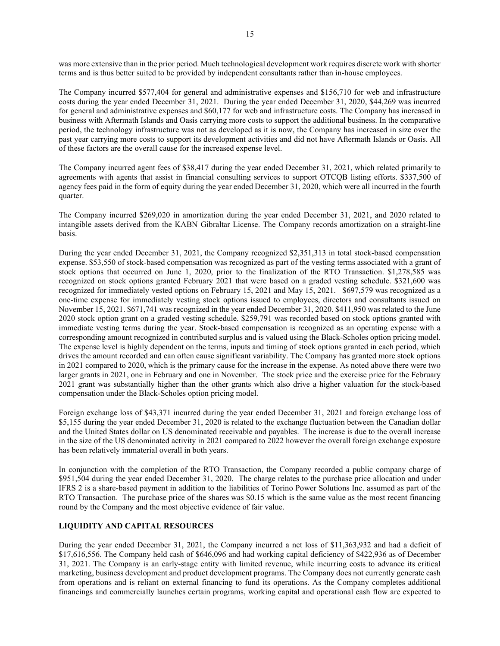was more extensive than in the prior period. Much technological development work requires discrete work with shorter terms and is thus better suited to be provided by independent consultants rather than in-house employees.

The Company incurred \$577,404 for general and administrative expenses and \$156,710 for web and infrastructure costs during the year ended December 31, 2021. During the year ended December 31, 2020, \$44,269 was incurred for general and administrative expenses and \$60,177 for web and infrastructure costs. The Company has increased in business with Aftermath Islands and Oasis carrying more costs to support the additional business. In the comparative period, the technology infrastructure was not as developed as it is now, the Company has increased in size over the past year carrying more costs to support its development activities and did not have Aftermath Islands or Oasis. All of these factors are the overall cause for the increased expense level.

The Company incurred agent fees of \$38,417 during the year ended December 31, 2021, which related primarily to agreements with agents that assist in financial consulting services to support OTCQB listing efforts. \$337,500 of agency fees paid in the form of equity during the year ended December 31, 2020, which were all incurred in the fourth quarter.

The Company incurred \$269,020 in amortization during the year ended December 31, 2021, and 2020 related to intangible assets derived from the KABN Gibraltar License. The Company records amortization on a straight-line basis.

During the year ended December 31, 2021, the Company recognized \$2,351,313 in total stock-based compensation expense. \$53,550 of stock-based compensation was recognized as part of the vesting terms associated with a grant of stock options that occurred on June 1, 2020, prior to the finalization of the RTO Transaction. \$1,278,585 was recognized on stock options granted February 2021 that were based on a graded vesting schedule. \$321,600 was recognized for immediately vested options on February 15, 2021 and May 15, 2021. \$697,579 was recognized as a one-time expense for immediately vesting stock options issued to employees, directors and consultants issued on November 15, 2021. \$671,741 was recognized in the year ended December 31, 2020. \$411,950 was related to the June 2020 stock option grant on a graded vesting schedule. \$259,791 was recorded based on stock options granted with immediate vesting terms during the year. Stock-based compensation is recognized as an operating expense with a corresponding amount recognized in contributed surplus and is valued using the Black-Scholes option pricing model. The expense level is highly dependent on the terms, inputs and timing of stock options granted in each period, which drives the amount recorded and can often cause significant variability. The Company has granted more stock options in 2021 compared to 2020, which is the primary cause for the increase in the expense. As noted above there were two larger grants in 2021, one in February and one in November. The stock price and the exercise price for the February 2021 grant was substantially higher than the other grants which also drive a higher valuation for the stock-based compensation under the Black-Scholes option pricing model.

Foreign exchange loss of \$43,371 incurred during the year ended December 31, 2021 and foreign exchange loss of \$5,155 during the year ended December 31, 2020 is related to the exchange fluctuation between the Canadian dollar and the United States dollar on US denominated receivable and payables. The increase is due to the overall increase in the size of the US denominated activity in 2021 compared to 2022 however the overall foreign exchange exposure has been relatively immaterial overall in both years.

In conjunction with the completion of the RTO Transaction, the Company recorded a public company charge of \$951,504 during the year ended December 31, 2020. The charge relates to the purchase price allocation and under IFRS 2 is a share-based payment in addition to the liabilities of Torino Power Solutions Inc. assumed as part of the RTO Transaction. The purchase price of the shares was \$0.15 which is the same value as the most recent financing round by the Company and the most objective evidence of fair value.

## LIQUIDITY AND CAPITAL RESOURCES

During the year ended December 31, 2021, the Company incurred a net loss of \$11,363,932 and had a deficit of \$17,616,556. The Company held cash of \$646,096 and had working capital deficiency of \$422,936 as of December 31, 2021. The Company is an early-stage entity with limited revenue, while incurring costs to advance its critical marketing, business development and product development programs. The Company does not currently generate cash from operations and is reliant on external financing to fund its operations. As the Company completes additional financings and commercially launches certain programs, working capital and operational cash flow are expected to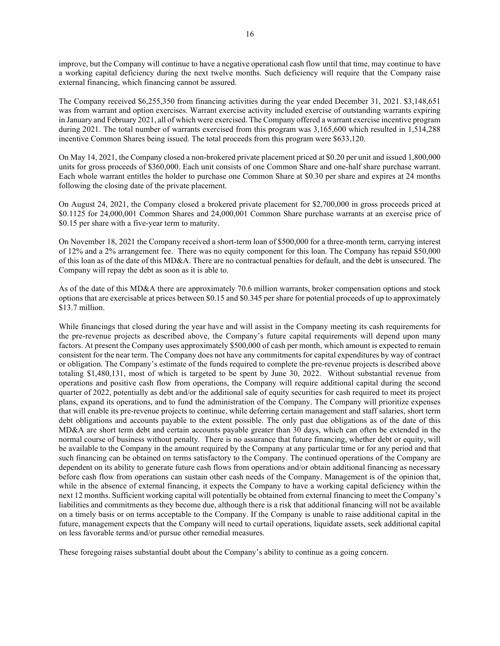improve, but the Company will continue to have a negative operational cash flow until that time, may continue to have a working capital deficiency during the next twelve months. Such deficiency will require that the Company raise external financing, which financing cannot be assured.

The Company received \$6,255,350 from financing activities during the year ended December 31, 2021. \$3,148,651 was from warrant and option exercises. Warrant exercise activity included exercise of outstanding warrants expiring in January and February 2021, all of which were exercised. The Company offered a warrant exercise incentive program during 2021. The total number of warrants exercised from this program was 3,165,600 which resulted in 1,514,288 incentive Common Shares being issued. The total proceeds from this program were \$633,120.

On May 14, 2021, the Company closed a non-brokered private placement priced at \$0.20 per unit and issued 1,800,000 units for gross proceeds of \$360,000. Each unit consists of one Common Share and one-half share purchase warrant. Each whole warrant entitles the holder to purchase one Common Share at \$0.30 per share and expires at 24 months following the closing date of the private placement.

On August 24, 2021, the Company closed a brokered private placement for \$2,700,000 in gross proceeds priced at \$0.1125 for 24,000,001 Common Shares and 24,000,001 Common Share purchase warrants at an exercise price of \$0.15 per share with a five-year term to maturity.

On November 18, 2021 the Company received a short-term loan of \$500,000 for a three-month term, carrying interest of 12% and a 2% arrangement fee. There was no equity component for this loan. The Company has repaid \$50,000 of this loan as of the date of this MD&A. There are no contractual penalties for default, and the debt is unsecured. The Company will repay the debt as soon as it is able to.

As of the date of this MD&A there are approximately 70.6 million warrants, broker compensation options and stock options that are exercisable at prices between \$0.15 and \$0.345 per share for potential proceeds of up to approximately \$13.7 million.

While financings that closed during the year have and will assist in the Company meeting its cash requirements for the pre-revenue projects as described above, the Company's future capital requirements will depend upon many factors. At present the Company uses approximately \$500,000 of cash per month, which amount is expected to remain consistent for the near term. The Company does not have any commitments for capital expenditures by way of contract or obligation. The Company's estimate of the funds required to complete the pre-revenue projects is described above totaling \$1,480,131, most of which is targeted to be spent by June 30, 2022. Without substantial revenue from operations and positive cash flow from operations, the Company will require additional capital during the second quarter of 2022, potentially as debt and/or the additional sale of equity securities for cash required to meet its project plans, expand its operations, and to fund the administration of the Company. The Company will prioritize expenses that will enable its pre-revenue projects to continue, while deferring certain management and staff salaries, short term debt obligations and accounts payable to the extent possible. The only past due obligations as of the date of this MD&A are short term debt and certain accounts payable greater than 30 days, which can often be extended in the normal course of business without penalty. There is no assurance that future financing, whether debt or equity, will be available to the Company in the amount required by the Company at any particular time or for any period and that such financing can be obtained on terms satisfactory to the Company. The continued operations of the Company are dependent on its ability to generate future cash flows from operations and/or obtain additional financing as necessary before cash flow from operations can sustain other cash needs of the Company. Management is of the opinion that, while in the absence of external financing, it expects the Company to have a working capital deficiency within the next 12 months. Sufficient working capital will potentially be obtained from external financing to meet the Company's liabilities and commitments as they become due, although there is a risk that additional financing will not be available on a timely basis or on terms acceptable to the Company. If the Company is unable to raise additional capital in the future, management expects that the Company will need to curtail operations, liquidate assets, seek additional capital on less favorable terms and/or pursue other remedial measures.

These foregoing raises substantial doubt about the Company's ability to continue as a going concern.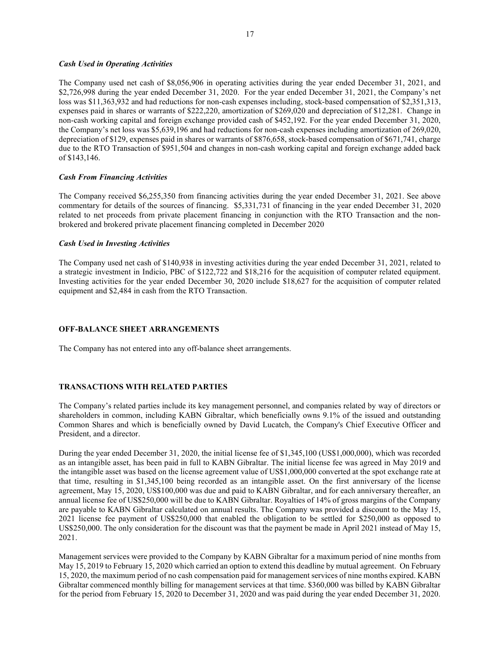#### Cash Used in Operating Activities

The Company used net cash of \$8,056,906 in operating activities during the year ended December 31, 2021, and \$2,726,998 during the year ended December 31, 2020. For the year ended December 31, 2021, the Company's net loss was \$11,363,932 and had reductions for non-cash expenses including, stock-based compensation of \$2,351,313, expenses paid in shares or warrants of \$222,220, amortization of \$269,020 and depreciation of \$12,281. Change in non-cash working capital and foreign exchange provided cash of \$452,192. For the year ended December 31, 2020, the Company's net loss was \$5,639,196 and had reductions for non-cash expenses including amortization of 269,020, depreciation of \$129, expenses paid in shares or warrants of \$876,658, stock-based compensation of \$671,741, charge due to the RTO Transaction of \$951,504 and changes in non-cash working capital and foreign exchange added back of \$143,146.

## Cash From Financing Activities

The Company received \$6,255,350 from financing activities during the year ended December 31, 2021. See above commentary for details of the sources of financing. \$5,331,731 of financing in the year ended December 31, 2020 related to net proceeds from private placement financing in conjunction with the RTO Transaction and the nonbrokered and brokered private placement financing completed in December 2020

## Cash Used in Investing Activities

The Company used net cash of \$140,938 in investing activities during the year ended December 31, 2021, related to a strategic investment in Indicio, PBC of \$122,722 and \$18,216 for the acquisition of computer related equipment. Investing activities for the year ended December 30, 2020 include \$18,627 for the acquisition of computer related equipment and \$2,484 in cash from the RTO Transaction.

#### OFF-BALANCE SHEET ARRANGEMENTS

The Company has not entered into any off-balance sheet arrangements.

## TRANSACTIONS WITH RELATED PARTIES

The Company's related parties include its key management personnel, and companies related by way of directors or shareholders in common, including KABN Gibraltar, which beneficially owns 9.1% of the issued and outstanding Common Shares and which is beneficially owned by David Lucatch, the Company's Chief Executive Officer and President, and a director.

During the year ended December 31, 2020, the initial license fee of \$1,345,100 (US\$1,000,000), which was recorded as an intangible asset, has been paid in full to KABN Gibraltar. The initial license fee was agreed in May 2019 and the intangible asset was based on the license agreement value of US\$1,000,000 converted at the spot exchange rate at that time, resulting in \$1,345,100 being recorded as an intangible asset. On the first anniversary of the license agreement, May 15, 2020, US\$100,000 was due and paid to KABN Gibraltar, and for each anniversary thereafter, an annual license fee of US\$250,000 will be due to KABN Gibraltar. Royalties of 14% of gross margins of the Company are payable to KABN Gibraltar calculated on annual results. The Company was provided a discount to the May 15, 2021 license fee payment of US\$250,000 that enabled the obligation to be settled for \$250,000 as opposed to US\$250,000. The only consideration for the discount was that the payment be made in April 2021 instead of May 15, 2021.

Management services were provided to the Company by KABN Gibraltar for a maximum period of nine months from May 15, 2019 to February 15, 2020 which carried an option to extend this deadline by mutual agreement. On February 15, 2020, the maximum period of no cash compensation paid for management services of nine months expired. KABN Gibraltar commenced monthly billing for management services at that time. \$360,000 was billed by KABN Gibraltar for the period from February 15, 2020 to December 31, 2020 and was paid during the year ended December 31, 2020.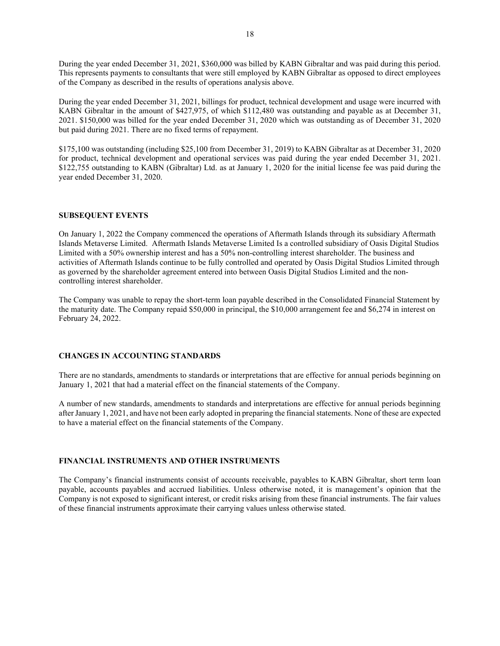During the year ended December 31, 2021, \$360,000 was billed by KABN Gibraltar and was paid during this period. This represents payments to consultants that were still employed by KABN Gibraltar as opposed to direct employees of the Company as described in the results of operations analysis above.

During the year ended December 31, 2021, billings for product, technical development and usage were incurred with KABN Gibraltar in the amount of \$427,975, of which \$112,480 was outstanding and payable as at December 31, 2021. \$150,000 was billed for the year ended December 31, 2020 which was outstanding as of December 31, 2020 but paid during 2021. There are no fixed terms of repayment.

\$175,100 was outstanding (including \$25,100 from December 31, 2019) to KABN Gibraltar as at December 31, 2020 for product, technical development and operational services was paid during the year ended December 31, 2021. \$122,755 outstanding to KABN (Gibraltar) Ltd. as at January 1, 2020 for the initial license fee was paid during the year ended December 31, 2020.

## SUBSEQUENT EVENTS

On January 1, 2022 the Company commenced the operations of Aftermath Islands through its subsidiary Aftermath Islands Metaverse Limited. Aftermath Islands Metaverse Limited Is a controlled subsidiary of Oasis Digital Studios Limited with a 50% ownership interest and has a 50% non-controlling interest shareholder. The business and activities of Aftermath Islands continue to be fully controlled and operated by Oasis Digital Studios Limited through as governed by the shareholder agreement entered into between Oasis Digital Studios Limited and the noncontrolling interest shareholder.

The Company was unable to repay the short-term loan payable described in the Consolidated Financial Statement by the maturity date. The Company repaid \$50,000 in principal, the \$10,000 arrangement fee and \$6,274 in interest on February 24, 2022.

#### CHANGES IN ACCOUNTING STANDARDS

There are no standards, amendments to standards or interpretations that are effective for annual periods beginning on January 1, 2021 that had a material effect on the financial statements of the Company.

A number of new standards, amendments to standards and interpretations are effective for annual periods beginning after January 1, 2021, and have not been early adopted in preparing the financial statements. None of these are expected to have a material effect on the financial statements of the Company.

#### FINANCIAL INSTRUMENTS AND OTHER INSTRUMENTS

The Company's financial instruments consist of accounts receivable, payables to KABN Gibraltar, short term loan payable, accounts payables and accrued liabilities. Unless otherwise noted, it is management's opinion that the Company is not exposed to significant interest, or credit risks arising from these financial instruments. The fair values of these financial instruments approximate their carrying values unless otherwise stated.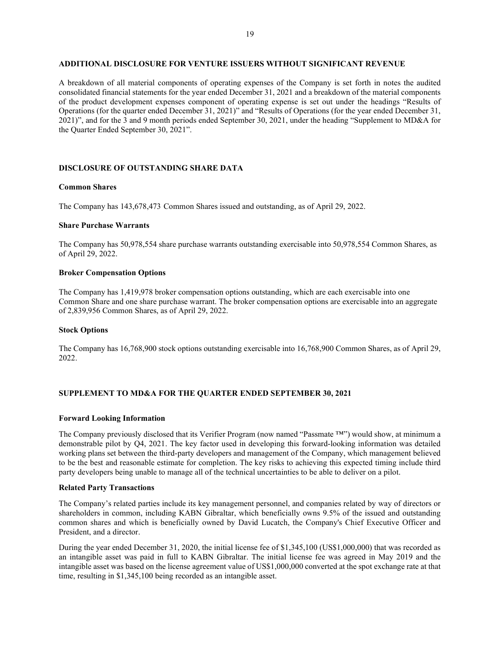## ADDITIONAL DISCLOSURE FOR VENTURE ISSUERS WITHOUT SIGNIFICANT REVENUE

A breakdown of all material components of operating expenses of the Company is set forth in notes the audited consolidated financial statements for the year ended December 31, 2021 and a breakdown of the material components of the product development expenses component of operating expense is set out under the headings "Results of Operations (for the quarter ended December 31, 2021)" and "Results of Operations (for the year ended December 31, 2021)", and for the 3 and 9 month periods ended September 30, 2021, under the heading "Supplement to MD&A for the Quarter Ended September 30, 2021".

#### DISCLOSURE OF OUTSTANDING SHARE DATA

#### Common Shares

The Company has 143,678,473 Common Shares issued and outstanding, as of April 29, 2022.

#### Share Purchase Warrants

The Company has 50,978,554 share purchase warrants outstanding exercisable into 50,978,554 Common Shares, as of April 29, 2022.

#### Broker Compensation Options

The Company has 1,419,978 broker compensation options outstanding, which are each exercisable into one Common Share and one share purchase warrant. The broker compensation options are exercisable into an aggregate of 2,839,956 Common Shares, as of April 29, 2022.

#### Stock Options

The Company has 16,768,900 stock options outstanding exercisable into 16,768,900 Common Shares, as of April 29, 2022.

#### SUPPLEMENT TO MD&A FOR THE QUARTER ENDED SEPTEMBER 30, 2021

#### Forward Looking Information

The Company previously disclosed that its Verifier Program (now named "Passmate ™") would show, at minimum a demonstrable pilot by Q4, 2021. The key factor used in developing this forward-looking information was detailed working plans set between the third-party developers and management of the Company, which management believed to be the best and reasonable estimate for completion. The key risks to achieving this expected timing include third party developers being unable to manage all of the technical uncertainties to be able to deliver on a pilot.

#### Related Party Transactions

The Company's related parties include its key management personnel, and companies related by way of directors or shareholders in common, including KABN Gibraltar, which beneficially owns 9.5% of the issued and outstanding common shares and which is beneficially owned by David Lucatch, the Company's Chief Executive Officer and President, and a director.

During the year ended December 31, 2020, the initial license fee of \$1,345,100 (US\$1,000,000) that was recorded as an intangible asset was paid in full to KABN Gibraltar. The initial license fee was agreed in May 2019 and the intangible asset was based on the license agreement value of US\$1,000,000 converted at the spot exchange rate at that time, resulting in \$1,345,100 being recorded as an intangible asset.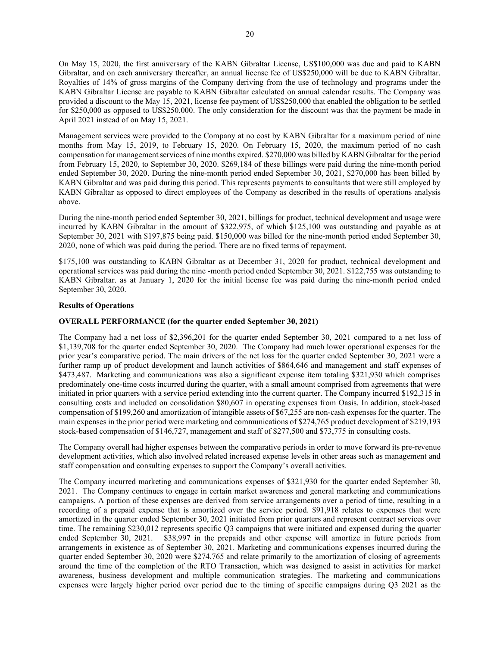On May 15, 2020, the first anniversary of the KABN Gibraltar License, US\$100,000 was due and paid to KABN Gibraltar, and on each anniversary thereafter, an annual license fee of US\$250,000 will be due to KABN Gibraltar. Royalties of 14% of gross margins of the Company deriving from the use of technology and programs under the KABN Gibraltar License are payable to KABN Gibraltar calculated on annual calendar results. The Company was provided a discount to the May 15, 2021, license fee payment of US\$250,000 that enabled the obligation to be settled for \$250,000 as opposed to US\$250,000. The only consideration for the discount was that the payment be made in April 2021 instead of on May 15, 2021.

Management services were provided to the Company at no cost by KABN Gibraltar for a maximum period of nine months from May 15, 2019, to February 15, 2020. On February 15, 2020, the maximum period of no cash compensation for management services of nine months expired. \$270,000 was billed by KABN Gibraltar for the period from February 15, 2020, to September 30, 2020. \$269,184 of these billings were paid during the nine-month period ended September 30, 2020. During the nine-month period ended September 30, 2021, \$270,000 has been billed by KABN Gibraltar and was paid during this period. This represents payments to consultants that were still employed by KABN Gibraltar as opposed to direct employees of the Company as described in the results of operations analysis above.

During the nine-month period ended September 30, 2021, billings for product, technical development and usage were incurred by KABN Gibraltar in the amount of \$322,975, of which \$125,100 was outstanding and payable as at September 30, 2021 with \$197,875 being paid. \$150,000 was billed for the nine-month period ended September 30, 2020, none of which was paid during the period. There are no fixed terms of repayment.

\$175,100 was outstanding to KABN Gibraltar as at December 31, 2020 for product, technical development and operational services was paid during the nine -month period ended September 30, 2021. \$122,755 was outstanding to KABN Gibraltar. as at January 1, 2020 for the initial license fee was paid during the nine-month period ended September 30, 2020.

## Results of Operations

## OVERALL PERFORMANCE (for the quarter ended September 30, 2021)

The Company had a net loss of \$2,396,201 for the quarter ended September 30, 2021 compared to a net loss of \$1,139,708 for the quarter ended September 30, 2020. The Company had much lower operational expenses for the prior year's comparative period. The main drivers of the net loss for the quarter ended September 30, 2021 were a further ramp up of product development and launch activities of \$864,646 and management and staff expenses of \$473,487. Marketing and communications was also a significant expense item totaling \$321,930 which comprises predominately one-time costs incurred during the quarter, with a small amount comprised from agreements that were initiated in prior quarters with a service period extending into the current quarter. The Company incurred \$192,315 in consulting costs and included on consolidation \$80,607 in operating expenses from Oasis. In addition, stock-based compensation of \$199,260 and amortization of intangible assets of \$67,255 are non-cash expenses for the quarter. The main expenses in the prior period were marketing and communications of \$274,765 product development of \$219,193 stock-based compensation of \$146,727, management and staff of \$277,500 and \$73,775 in consulting costs.

The Company overall had higher expenses between the comparative periods in order to move forward its pre-revenue development activities, which also involved related increased expense levels in other areas such as management and staff compensation and consulting expenses to support the Company's overall activities.

The Company incurred marketing and communications expenses of \$321,930 for the quarter ended September 30, 2021. The Company continues to engage in certain market awareness and general marketing and communications campaigns. A portion of these expenses are derived from service arrangements over a period of time, resulting in a recording of a prepaid expense that is amortized over the service period. \$91,918 relates to expenses that were amortized in the quarter ended September 30, 2021 initiated from prior quarters and represent contract services over time. The remaining \$230,012 represents specific Q3 campaigns that were initiated and expensed during the quarter ended September 30, 2021. \$38,997 in the prepaids and other expense will amortize in future periods from arrangements in existence as of September 30, 2021. Marketing and communications expenses incurred during the quarter ended September 30, 2020 were \$274,765 and relate primarily to the amortization of closing of agreements around the time of the completion of the RTO Transaction, which was designed to assist in activities for market awareness, business development and multiple communication strategies. The marketing and communications expenses were largely higher period over period due to the timing of specific campaigns during Q3 2021 as the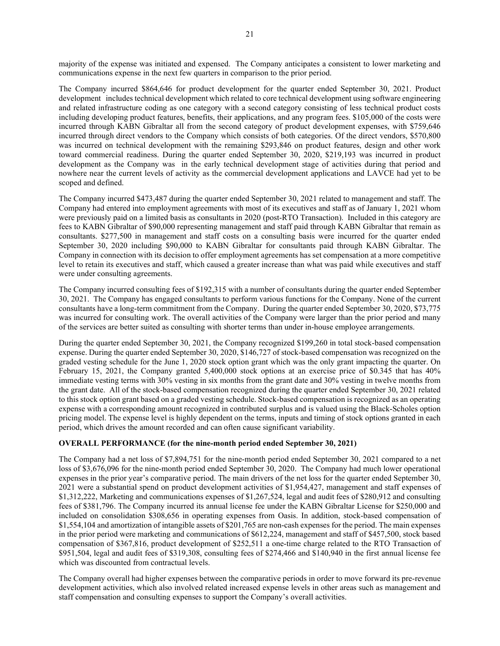majority of the expense was initiated and expensed. The Company anticipates a consistent to lower marketing and communications expense in the next few quarters in comparison to the prior period.

The Company incurred \$864,646 for product development for the quarter ended September 30, 2021. Product development includes technical development which related to core technical development using software engineering and related infrastructure coding as one category with a second category consisting of less technical product costs including developing product features, benefits, their applications, and any program fees. \$105,000 of the costs were incurred through KABN Gibraltar all from the second category of product development expenses, with \$759,646 incurred through direct vendors to the Company which consists of both categories. Of the direct vendors, \$570,800 was incurred on technical development with the remaining \$293,846 on product features, design and other work toward commercial readiness. During the quarter ended September 30, 2020, \$219,193 was incurred in product development as the Company was in the early technical development stage of activities during that period and nowhere near the current levels of activity as the commercial development applications and LAVCE had yet to be scoped and defined.

The Company incurred \$473,487 during the quarter ended September 30, 2021 related to management and staff. The Company had entered into employment agreements with most of its executives and staff as of January 1, 2021 whom were previously paid on a limited basis as consultants in 2020 (post-RTO Transaction). Included in this category are fees to KABN Gibraltar of \$90,000 representing management and staff paid through KABN Gibraltar that remain as consultants. \$277,500 in management and staff costs on a consulting basis were incurred for the quarter ended September 30, 2020 including \$90,000 to KABN Gibraltar for consultants paid through KABN Gibraltar. The Company in connection with its decision to offer employment agreements has set compensation at a more competitive level to retain its executives and staff, which caused a greater increase than what was paid while executives and staff were under consulting agreements.

The Company incurred consulting fees of \$192,315 with a number of consultants during the quarter ended September 30, 2021. The Company has engaged consultants to perform various functions for the Company. None of the current consultants have a long-term commitment from the Company. During the quarter ended September 30, 2020, \$73,775 was incurred for consulting work. The overall activities of the Company were larger than the prior period and many of the services are better suited as consulting with shorter terms than under in-house employee arrangements.

During the quarter ended September 30, 2021, the Company recognized \$199,260 in total stock-based compensation expense. During the quarter ended September 30, 2020, \$146,727 of stock-based compensation was recognized on the graded vesting schedule for the June 1, 2020 stock option grant which was the only grant impacting the quarter. On February 15, 2021, the Company granted 5,400,000 stock options at an exercise price of \$0.345 that has 40% immediate vesting terms with 30% vesting in six months from the grant date and 30% vesting in twelve months from the grant date. All of the stock-based compensation recognized during the quarter ended September 30, 2021 related to this stock option grant based on a graded vesting schedule. Stock-based compensation is recognized as an operating expense with a corresponding amount recognized in contributed surplus and is valued using the Black-Scholes option pricing model. The expense level is highly dependent on the terms, inputs and timing of stock options granted in each period, which drives the amount recorded and can often cause significant variability.

## OVERALL PERFORMANCE (for the nine-month period ended September 30, 2021)

The Company had a net loss of \$7,894,751 for the nine-month period ended September 30, 2021 compared to a net loss of \$3,676,096 for the nine-month period ended September 30, 2020. The Company had much lower operational expenses in the prior year's comparative period. The main drivers of the net loss for the quarter ended September 30, 2021 were a substantial spend on product development activities of \$1,954,427, management and staff expenses of \$1,312,222, Marketing and communications expenses of \$1,267,524, legal and audit fees of \$280,912 and consulting fees of \$381,796. The Company incurred its annual license fee under the KABN Gibraltar License for \$250,000 and included on consolidation \$308,656 in operating expenses from Oasis. In addition, stock-based compensation of \$1,554,104 and amortization of intangible assets of \$201,765 are non-cash expenses for the period. The main expenses in the prior period were marketing and communications of \$612,224, management and staff of \$457,500, stock based compensation of \$367,816, product development of \$252,511 a one-time charge related to the RTO Transaction of \$951,504, legal and audit fees of \$319,308, consulting fees of \$274,466 and \$140,940 in the first annual license fee which was discounted from contractual levels.

The Company overall had higher expenses between the comparative periods in order to move forward its pre-revenue development activities, which also involved related increased expense levels in other areas such as management and staff compensation and consulting expenses to support the Company's overall activities.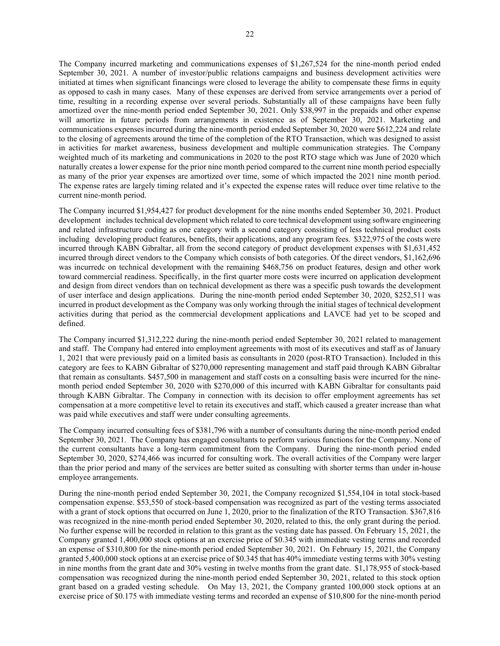The Company incurred marketing and communications expenses of \$1,267,524 for the nine-month period ended September 30, 2021. A number of investor/public relations campaigns and business development activities were initiated at times when significant financings were closed to leverage the ability to compensate these firms in equity as opposed to cash in many cases. Many of these expenses are derived from service arrangements over a period of time, resulting in a recording expense over several periods. Substantially all of these campaigns have been fully amortized over the nine-month period ended September 30, 2021. Only \$38,997 in the prepaids and other expense will amortize in future periods from arrangements in existence as of September 30, 2021. Marketing and communications expenses incurred during the nine-month period ended September 30, 2020 were \$612,224 and relate to the closing of agreements around the time of the completion of the RTO Transaction, which was designed to assist in activities for market awareness, business development and multiple communication strategies. The Company weighted much of its marketing and communications in 2020 to the post RTO stage which was June of 2020 which naturally creates a lower expense for the prior nine month period compared to the current nine month period especially as many of the prior year expenses are amortized over time, some of which impacted the 2021 nine month period. The expense rates are largely timing related and it's expected the expense rates will reduce over time relative to the current nine-month period.

The Company incurred \$1,954,427 for product development for the nine months ended September 30, 2021. Product development includes technical development which related to core technical development using software engineering and related infrastructure coding as one category with a second category consisting of less technical product costs including developing product features, benefits, their applications, and any program fees. \$322,975 of the costs were incurred through KABN Gibraltar, all from the second category of product development expenses with \$1,631,452 incurred through direct vendors to the Company which consists of both categories. Of the direct vendors, \$1,162,696 was incurredc on technical development with the remaining \$468,756 on product features, design and other work toward commercial readiness. Specifically, in the first quarter more costs were incurred on application development and design from direct vendors than on technical development as there was a specific push towards the development of user interface and design applications. During the nine-month period ended September 30, 2020, \$252,511 was incurred in product development as the Company was only working through the initial stages of technical development activities during that period as the commercial development applications and LAVCE had yet to be scoped and defined.

The Company incurred \$1,312,222 during the nine-month period ended September 30, 2021 related to management and staff. The Company had entered into employment agreements with most of its executives and staff as of January 1, 2021 that were previously paid on a limited basis as consultants in 2020 (post-RTO Transaction). Included in this category are fees to KABN Gibraltar of \$270,000 representing management and staff paid through KABN Gibraltar that remain as consultants. \$457,500 in management and staff costs on a consulting basis were incurred for the ninemonth period ended September 30, 2020 with \$270,000 of this incurred with KABN Gibraltar for consultants paid through KABN Gibraltar. The Company in connection with its decision to offer employment agreements has set compensation at a more competitive level to retain its executives and staff, which caused a greater increase than what was paid while executives and staff were under consulting agreements.

The Company incurred consulting fees of \$381,796 with a number of consultants during the nine-month period ended September 30, 2021. The Company has engaged consultants to perform various functions for the Company. None of the current consultants have a long-term commitment from the Company. During the nine-month period ended September 30, 2020, \$274,466 was incurred for consulting work. The overall activities of the Company were larger than the prior period and many of the services are better suited as consulting with shorter terms than under in-house employee arrangements.

During the nine-month period ended September 30, 2021, the Company recognized \$1,554,104 in total stock-based compensation expense. \$53,550 of stock-based compensation was recognized as part of the vesting terms associated with a grant of stock options that occurred on June 1, 2020, prior to the finalization of the RTO Transaction. \$367,816 was recognized in the nine-month period ended September 30, 2020, related to this, the only grant during the period. No further expense will be recorded in relation to this grant as the vesting date has passed. On February 15, 2021, the Company granted 1,400,000 stock options at an exercise price of \$0.345 with immediate vesting terms and recorded an expense of \$310,800 for the nine-month period ended September 30, 2021. On February 15, 2021, the Company granted 5,400,000 stock options at an exercise price of \$0.345 that has 40% immediate vesting terms with 30% vesting in nine months from the grant date and 30% vesting in twelve months from the grant date. \$1,178,955 of stock-based compensation was recognized during the nine-month period ended September 30, 2021, related to this stock option grant based on a graded vesting schedule. On May 13, 2021, the Company granted 100,000 stock options at an exercise price of \$0.175 with immediate vesting terms and recorded an expense of \$10,800 for the nine-month period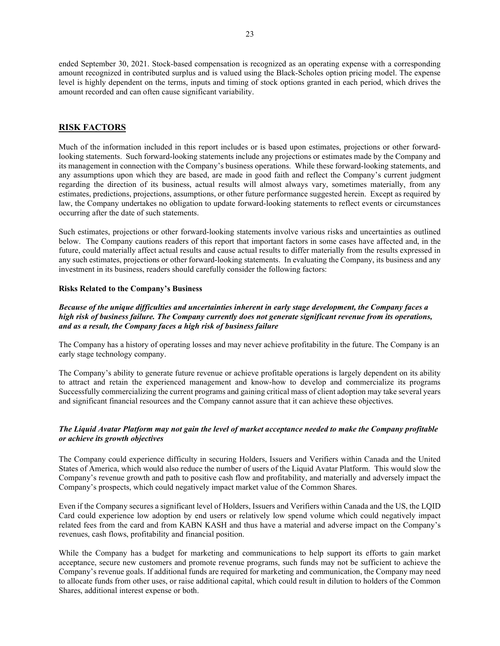ended September 30, 2021. Stock-based compensation is recognized as an operating expense with a corresponding amount recognized in contributed surplus and is valued using the Black-Scholes option pricing model. The expense level is highly dependent on the terms, inputs and timing of stock options granted in each period, which drives the amount recorded and can often cause significant variability.

## RISK FACTORS

Much of the information included in this report includes or is based upon estimates, projections or other forwardlooking statements. Such forward-looking statements include any projections or estimates made by the Company and its management in connection with the Company's business operations. While these forward-looking statements, and any assumptions upon which they are based, are made in good faith and reflect the Company's current judgment regarding the direction of its business, actual results will almost always vary, sometimes materially, from any estimates, predictions, projections, assumptions, or other future performance suggested herein. Except as required by law, the Company undertakes no obligation to update forward-looking statements to reflect events or circumstances occurring after the date of such statements.

Such estimates, projections or other forward-looking statements involve various risks and uncertainties as outlined below. The Company cautions readers of this report that important factors in some cases have affected and, in the future, could materially affect actual results and cause actual results to differ materially from the results expressed in any such estimates, projections or other forward-looking statements. In evaluating the Company, its business and any investment in its business, readers should carefully consider the following factors:

#### Risks Related to the Company's Business

Because of the unique difficulties and uncertainties inherent in early stage development, the Company faces a high risk of business failure. The Company currently does not generate significant revenue from its operations, and as a result, the Company faces a high risk of business failure

The Company has a history of operating losses and may never achieve profitability in the future. The Company is an early stage technology company.

The Company's ability to generate future revenue or achieve profitable operations is largely dependent on its ability to attract and retain the experienced management and know-how to develop and commercialize its programs Successfully commercializing the current programs and gaining critical mass of client adoption may take several years and significant financial resources and the Company cannot assure that it can achieve these objectives.

## The Liquid Avatar Platform may not gain the level of market acceptance needed to make the Company profitable or achieve its growth objectives

The Company could experience difficulty in securing Holders, Issuers and Verifiers within Canada and the United States of America, which would also reduce the number of users of the Liquid Avatar Platform. This would slow the Company's revenue growth and path to positive cash flow and profitability, and materially and adversely impact the Company's prospects, which could negatively impact market value of the Common Shares.

Even if the Company secures a significant level of Holders, Issuers and Verifiers within Canada and the US, the LQID Card could experience low adoption by end users or relatively low spend volume which could negatively impact related fees from the card and from KABN KASH and thus have a material and adverse impact on the Company's revenues, cash flows, profitability and financial position.

While the Company has a budget for marketing and communications to help support its efforts to gain market acceptance, secure new customers and promote revenue programs, such funds may not be sufficient to achieve the Company's revenue goals. If additional funds are required for marketing and communication, the Company may need to allocate funds from other uses, or raise additional capital, which could result in dilution to holders of the Common Shares, additional interest expense or both.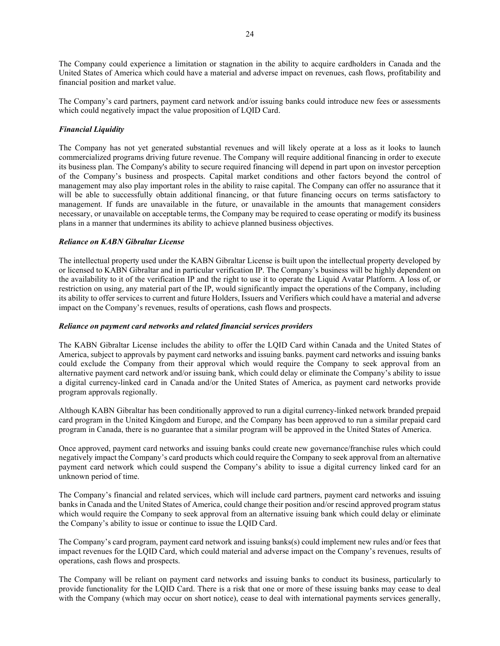The Company could experience a limitation or stagnation in the ability to acquire cardholders in Canada and the United States of America which could have a material and adverse impact on revenues, cash flows, profitability and financial position and market value.

The Company's card partners, payment card network and/or issuing banks could introduce new fees or assessments which could negatively impact the value proposition of LQID Card.

## Financial Liquidity

The Company has not yet generated substantial revenues and will likely operate at a loss as it looks to launch commercialized programs driving future revenue. The Company will require additional financing in order to execute its business plan. The Company's ability to secure required financing will depend in part upon on investor perception of the Company's business and prospects. Capital market conditions and other factors beyond the control of management may also play important roles in the ability to raise capital. The Company can offer no assurance that it will be able to successfully obtain additional financing, or that future financing occurs on terms satisfactory to management. If funds are unavailable in the future, or unavailable in the amounts that management considers necessary, or unavailable on acceptable terms, the Company may be required to cease operating or modify its business plans in a manner that undermines its ability to achieve planned business objectives.

## Reliance on KABN Gibraltar License

The intellectual property used under the KABN Gibraltar License is built upon the intellectual property developed by or licensed to KABN Gibraltar and in particular verification IP. The Company's business will be highly dependent on the availability to it of the verification IP and the right to use it to operate the Liquid Avatar Platform. A loss of, or restriction on using, any material part of the IP, would significantly impact the operations of the Company, including its ability to offer services to current and future Holders, Issuers and Verifiers which could have a material and adverse impact on the Company's revenues, results of operations, cash flows and prospects.

#### Reliance on payment card networks and related financial services providers

The KABN Gibraltar License includes the ability to offer the LQID Card within Canada and the United States of America, subject to approvals by payment card networks and issuing banks. payment card networks and issuing banks could exclude the Company from their approval which would require the Company to seek approval from an alternative payment card network and/or issuing bank, which could delay or eliminate the Company's ability to issue a digital currency-linked card in Canada and/or the United States of America, as payment card networks provide program approvals regionally.

Although KABN Gibraltar has been conditionally approved to run a digital currency-linked network branded prepaid card program in the United Kingdom and Europe, and the Company has been approved to run a similar prepaid card program in Canada, there is no guarantee that a similar program will be approved in the United States of America.

Once approved, payment card networks and issuing banks could create new governance/franchise rules which could negatively impact the Company's card products which could require the Company to seek approval from an alternative payment card network which could suspend the Company's ability to issue a digital currency linked card for an unknown period of time.

The Company's financial and related services, which will include card partners, payment card networks and issuing banks in Canada and the United States of America, could change their position and/or rescind approved program status which would require the Company to seek approval from an alternative issuing bank which could delay or eliminate the Company's ability to issue or continue to issue the LQID Card.

The Company's card program, payment card network and issuing banks(s) could implement new rules and/or fees that impact revenues for the LQID Card, which could material and adverse impact on the Company's revenues, results of operations, cash flows and prospects.

The Company will be reliant on payment card networks and issuing banks to conduct its business, particularly to provide functionality for the LQID Card. There is a risk that one or more of these issuing banks may cease to deal with the Company (which may occur on short notice), cease to deal with international payments services generally,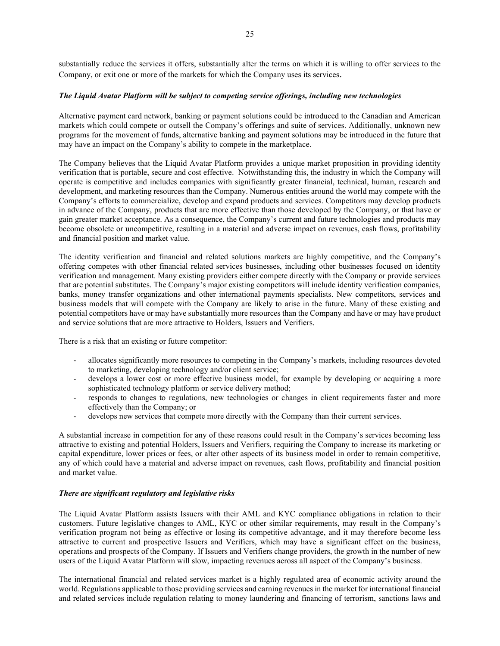substantially reduce the services it offers, substantially alter the terms on which it is willing to offer services to the Company, or exit one or more of the markets for which the Company uses its services.

## The Liquid Avatar Platform will be subject to competing service offerings, including new technologies

Alternative payment card network, banking or payment solutions could be introduced to the Canadian and American markets which could compete or outsell the Company's offerings and suite of services. Additionally, unknown new programs for the movement of funds, alternative banking and payment solutions may be introduced in the future that may have an impact on the Company's ability to compete in the marketplace.

The Company believes that the Liquid Avatar Platform provides a unique market proposition in providing identity verification that is portable, secure and cost effective. Notwithstanding this, the industry in which the Company will operate is competitive and includes companies with significantly greater financial, technical, human, research and development, and marketing resources than the Company. Numerous entities around the world may compete with the Company's efforts to commercialize, develop and expand products and services. Competitors may develop products in advance of the Company, products that are more effective than those developed by the Company, or that have or gain greater market acceptance. As a consequence, the Company's current and future technologies and products may become obsolete or uncompetitive, resulting in a material and adverse impact on revenues, cash flows, profitability and financial position and market value.

The identity verification and financial and related solutions markets are highly competitive, and the Company's offering competes with other financial related services businesses, including other businesses focused on identity verification and management. Many existing providers either compete directly with the Company or provide services that are potential substitutes. The Company's major existing competitors will include identity verification companies, banks, money transfer organizations and other international payments specialists. New competitors, services and business models that will compete with the Company are likely to arise in the future. Many of these existing and potential competitors have or may have substantially more resources than the Company and have or may have product and service solutions that are more attractive to Holders, Issuers and Verifiers.

There is a risk that an existing or future competitor:

- allocates significantly more resources to competing in the Company's markets, including resources devoted to marketing, developing technology and/or client service;
- develops a lower cost or more effective business model, for example by developing or acquiring a more sophisticated technology platform or service delivery method;
- responds to changes to regulations, new technologies or changes in client requirements faster and more effectively than the Company; or
- develops new services that compete more directly with the Company than their current services.

A substantial increase in competition for any of these reasons could result in the Company's services becoming less attractive to existing and potential Holders, Issuers and Verifiers, requiring the Company to increase its marketing or capital expenditure, lower prices or fees, or alter other aspects of its business model in order to remain competitive, any of which could have a material and adverse impact on revenues, cash flows, profitability and financial position and market value.

#### There are significant regulatory and legislative risks

The Liquid Avatar Platform assists Issuers with their AML and KYC compliance obligations in relation to their customers. Future legislative changes to AML, KYC or other similar requirements, may result in the Company's verification program not being as effective or losing its competitive advantage, and it may therefore become less attractive to current and prospective Issuers and Verifiers, which may have a significant effect on the business, operations and prospects of the Company. If Issuers and Verifiers change providers, the growth in the number of new users of the Liquid Avatar Platform will slow, impacting revenues across all aspect of the Company's business.

The international financial and related services market is a highly regulated area of economic activity around the world. Regulations applicable to those providing services and earning revenues in the market for international financial and related services include regulation relating to money laundering and financing of terrorism, sanctions laws and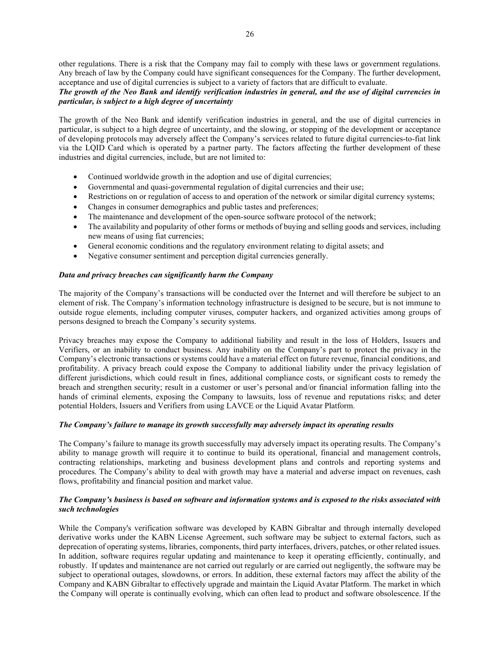other regulations. There is a risk that the Company may fail to comply with these laws or government regulations. Any breach of law by the Company could have significant consequences for the Company. The further development, acceptance and use of digital currencies is subject to a variety of factors that are difficult to evaluate.

## The growth of the Neo Bank and identify verification industries in general, and the use of digital currencies in particular, is subject to a high degree of uncertainty

The growth of the Neo Bank and identify verification industries in general, and the use of digital currencies in particular, is subject to a high degree of uncertainty, and the slowing, or stopping of the development or acceptance of developing protocols may adversely affect the Company's services related to future digital currencies-to-fiat link via the LQID Card which is operated by a partner party. The factors affecting the further development of these industries and digital currencies, include, but are not limited to:

- Continued worldwide growth in the adoption and use of digital currencies;
- Governmental and quasi-governmental regulation of digital currencies and their use;
- Restrictions on or regulation of access to and operation of the network or similar digital currency systems;
- Changes in consumer demographics and public tastes and preferences;
- The maintenance and development of the open-source software protocol of the network;
- The availability and popularity of other forms or methods of buying and selling goods and services, including new means of using fiat currencies;
- General economic conditions and the regulatory environment relating to digital assets; and
- Negative consumer sentiment and perception digital currencies generally.

## Data and privacy breaches can significantly harm the Company

The majority of the Company's transactions will be conducted over the Internet and will therefore be subject to an element of risk. The Company's information technology infrastructure is designed to be secure, but is not immune to outside rogue elements, including computer viruses, computer hackers, and organized activities among groups of persons designed to breach the Company's security systems.

Privacy breaches may expose the Company to additional liability and result in the loss of Holders, Issuers and Verifiers, or an inability to conduct business. Any inability on the Company's part to protect the privacy in the Company's electronic transactions or systems could have a material effect on future revenue, financial conditions, and profitability. A privacy breach could expose the Company to additional liability under the privacy legislation of different jurisdictions, which could result in fines, additional compliance costs, or significant costs to remedy the breach and strengthen security; result in a customer or user's personal and/or financial information falling into the hands of criminal elements, exposing the Company to lawsuits, loss of revenue and reputations risks; and deter potential Holders, Issuers and Verifiers from using LAVCE or the Liquid Avatar Platform.

#### The Company's failure to manage its growth successfully may adversely impact its operating results

The Company's failure to manage its growth successfully may adversely impact its operating results. The Company's ability to manage growth will require it to continue to build its operational, financial and management controls, contracting relationships, marketing and business development plans and controls and reporting systems and procedures. The Company's ability to deal with growth may have a material and adverse impact on revenues, cash flows, profitability and financial position and market value.

## The Company's business is based on software and information systems and is exposed to the risks associated with such technologies

While the Company's verification software was developed by KABN Gibraltar and through internally developed derivative works under the KABN License Agreement, such software may be subject to external factors, such as deprecation of operating systems, libraries, components, third party interfaces, drivers, patches, or other related issues. In addition, software requires regular updating and maintenance to keep it operating efficiently, continually, and robustly. If updates and maintenance are not carried out regularly or are carried out negligently, the software may be subject to operational outages, slowdowns, or errors. In addition, these external factors may affect the ability of the Company and KABN Gibraltar to effectively upgrade and maintain the Liquid Avatar Platform. The market in which the Company will operate is continually evolving, which can often lead to product and software obsolescence. If the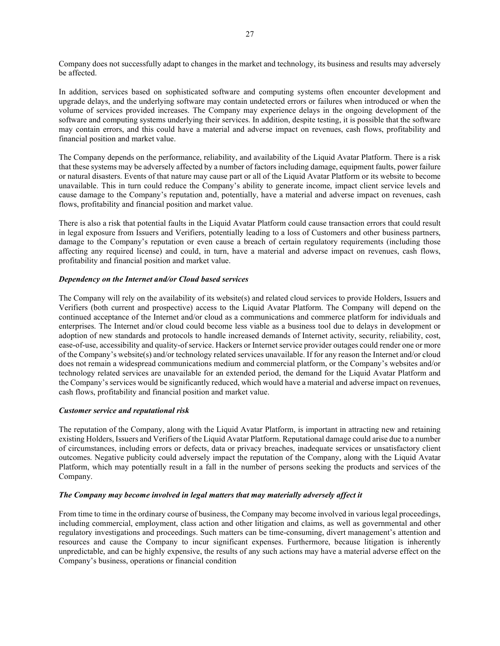Company does not successfully adapt to changes in the market and technology, its business and results may adversely be affected.

In addition, services based on sophisticated software and computing systems often encounter development and upgrade delays, and the underlying software may contain undetected errors or failures when introduced or when the volume of services provided increases. The Company may experience delays in the ongoing development of the software and computing systems underlying their services. In addition, despite testing, it is possible that the software may contain errors, and this could have a material and adverse impact on revenues, cash flows, profitability and financial position and market value.

The Company depends on the performance, reliability, and availability of the Liquid Avatar Platform. There is a risk that these systems may be adversely affected by a number of factors including damage, equipment faults, power failure or natural disasters. Events of that nature may cause part or all of the Liquid Avatar Platform or its website to become unavailable. This in turn could reduce the Company's ability to generate income, impact client service levels and cause damage to the Company's reputation and, potentially, have a material and adverse impact on revenues, cash flows, profitability and financial position and market value.

There is also a risk that potential faults in the Liquid Avatar Platform could cause transaction errors that could result in legal exposure from Issuers and Verifiers, potentially leading to a loss of Customers and other business partners, damage to the Company's reputation or even cause a breach of certain regulatory requirements (including those affecting any required license) and could, in turn, have a material and adverse impact on revenues, cash flows, profitability and financial position and market value.

## Dependency on the Internet and/or Cloud based services

The Company will rely on the availability of its website(s) and related cloud services to provide Holders, Issuers and Verifiers (both current and prospective) access to the Liquid Avatar Platform. The Company will depend on the continued acceptance of the Internet and/or cloud as a communications and commerce platform for individuals and enterprises. The Internet and/or cloud could become less viable as a business tool due to delays in development or adoption of new standards and protocols to handle increased demands of Internet activity, security, reliability, cost, ease-of-use, accessibility and quality-of service. Hackers or Internet service provider outages could render one or more of the Company's website(s) and/or technology related services unavailable. If for any reason the Internet and/or cloud does not remain a widespread communications medium and commercial platform, or the Company's websites and/or technology related services are unavailable for an extended period, the demand for the Liquid Avatar Platform and the Company's services would be significantly reduced, which would have a material and adverse impact on revenues, cash flows, profitability and financial position and market value.

## Customer service and reputational risk

The reputation of the Company, along with the Liquid Avatar Platform, is important in attracting new and retaining existing Holders, Issuers and Verifiers of the Liquid Avatar Platform. Reputational damage could arise due to a number of circumstances, including errors or defects, data or privacy breaches, inadequate services or unsatisfactory client outcomes. Negative publicity could adversely impact the reputation of the Company, along with the Liquid Avatar Platform, which may potentially result in a fall in the number of persons seeking the products and services of the Company.

#### The Company may become involved in legal matters that may materially adversely affect it

From time to time in the ordinary course of business, the Company may become involved in various legal proceedings, including commercial, employment, class action and other litigation and claims, as well as governmental and other regulatory investigations and proceedings. Such matters can be time‐consuming, divert management's attention and resources and cause the Company to incur significant expenses. Furthermore, because litigation is inherently unpredictable, and can be highly expensive, the results of any such actions may have a material adverse effect on the Company's business, operations or financial condition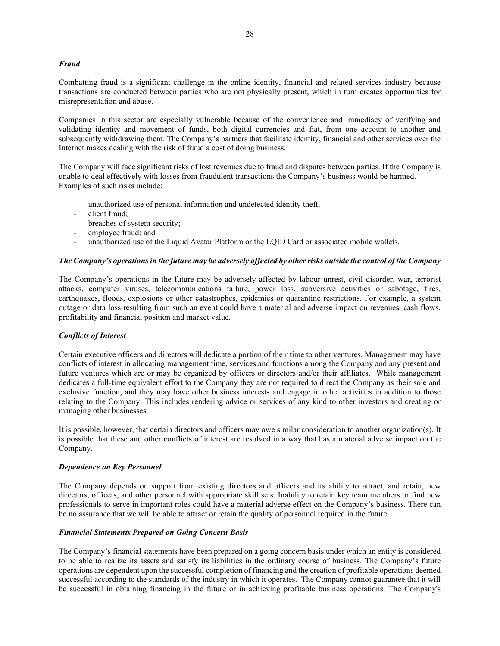#### Fraud

Combatting fraud is a significant challenge in the online identity, financial and related services industry because transactions are conducted between parties who are not physically present, which in turn creates opportunities for misrepresentation and abuse.

Companies in this sector are especially vulnerable because of the convenience and immediacy of verifying and validating identity and movement of funds, both digital currencies and fiat, from one account to another and subsequently withdrawing them. The Company's partners that facilitate identity, financial and other services over the Internet makes dealing with the risk of fraud a cost of doing business.

The Company will face significant risks of lost revenues due to fraud and disputes between parties. If the Company is unable to deal effectively with losses from fraudulent transactions the Company's business would be harmed. Examples of such risks include:

- unauthorized use of personal information and undetected identity theft;
- client fraud:
- breaches of system security;
- employee fraud; and
- unauthorized use of the Liquid Avatar Platform or the LQID Card or associated mobile wallets.

#### The Company's operations in the future may be adversely affected by other risks outside the control of the Company

The Company's operations in the future may be adversely affected by labour unrest, civil disorder, war, terrorist attacks, computer viruses, telecommunications failure, power loss, subversive activities or sabotage, fires, earthquakes, floods, explosions or other catastrophes, epidemics or quarantine restrictions. For example, a system outage or data loss resulting from such an event could have a material and adverse impact on revenues, cash flows, profitability and financial position and market value.

## Conflicts of Interest

Certain executive officers and directors will dedicate a portion of their time to other ventures. Management may have conflicts of interest in allocating management time, services and functions among the Company and any present and future ventures which are or may be organized by officers or directors and/or their affiliates. While management dedicates a full-time equivalent effort to the Company they are not required to direct the Company as their sole and exclusive function, and they may have other business interests and engage in other activities in addition to those relating to the Company. This includes rendering advice or services of any kind to other investors and creating or managing other businesses.

It is possible, however, that certain directors and officers may owe similar consideration to another organization(s). It is possible that these and other conflicts of interest are resolved in a way that has a material adverse impact on the Company.

#### Dependence on Key Personnel

The Company depends on support from existing directors and officers and its ability to attract, and retain, new directors, officers, and other personnel with appropriate skill sets. Inability to retain key team members or find new professionals to serve in important roles could have a material adverse effect on the Company's business. There can be no assurance that we will be able to attract or retain the quality of personnel required in the future.

#### Financial Statements Prepared on Going Concern Basis

The Company's financial statements have been prepared on a going concern basis under which an entity is considered to be able to realize its assets and satisfy its liabilities in the ordinary course of business. The Company's future operations are dependent upon the successful completion of financing and the creation of profitable operations deemed successful according to the standards of the industry in which it operates. The Company cannot guarantee that it will be successful in obtaining financing in the future or in achieving profitable business operations. The Company's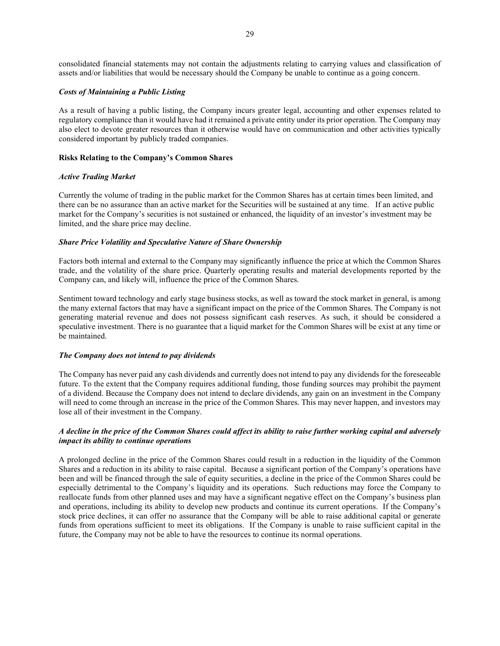consolidated financial statements may not contain the adjustments relating to carrying values and classification of assets and/or liabilities that would be necessary should the Company be unable to continue as a going concern.

#### Costs of Maintaining a Public Listing

As a result of having a public listing, the Company incurs greater legal, accounting and other expenses related to regulatory compliance than it would have had it remained a private entity under its prior operation. The Company may also elect to devote greater resources than it otherwise would have on communication and other activities typically considered important by publicly traded companies.

## Risks Relating to the Company's Common Shares

## Active Trading Market

Currently the volume of trading in the public market for the Common Shares has at certain times been limited, and there can be no assurance than an active market for the Securities will be sustained at any time. If an active public market for the Company's securities is not sustained or enhanced, the liquidity of an investor's investment may be limited, and the share price may decline.

## Share Price Volatility and Speculative Nature of Share Ownership

Factors both internal and external to the Company may significantly influence the price at which the Common Shares trade, and the volatility of the share price. Quarterly operating results and material developments reported by the Company can, and likely will, influence the price of the Common Shares.

Sentiment toward technology and early stage business stocks, as well as toward the stock market in general, is among the many external factors that may have a significant impact on the price of the Common Shares. The Company is not generating material revenue and does not possess significant cash reserves. As such, it should be considered a speculative investment. There is no guarantee that a liquid market for the Common Shares will be exist at any time or be maintained.

#### The Company does not intend to pay dividends

The Company has never paid any cash dividends and currently does not intend to pay any dividends for the foreseeable future. To the extent that the Company requires additional funding, those funding sources may prohibit the payment of a dividend. Because the Company does not intend to declare dividends, any gain on an investment in the Company will need to come through an increase in the price of the Common Shares. This may never happen, and investors may lose all of their investment in the Company.

## A decline in the price of the Common Shares could affect its ability to raise further working capital and adversely impact its ability to continue operations

A prolonged decline in the price of the Common Shares could result in a reduction in the liquidity of the Common Shares and a reduction in its ability to raise capital. Because a significant portion of the Company's operations have been and will be financed through the sale of equity securities, a decline in the price of the Common Shares could be especially detrimental to the Company's liquidity and its operations. Such reductions may force the Company to reallocate funds from other planned uses and may have a significant negative effect on the Company's business plan and operations, including its ability to develop new products and continue its current operations. If the Company's stock price declines, it can offer no assurance that the Company will be able to raise additional capital or generate funds from operations sufficient to meet its obligations. If the Company is unable to raise sufficient capital in the future, the Company may not be able to have the resources to continue its normal operations.